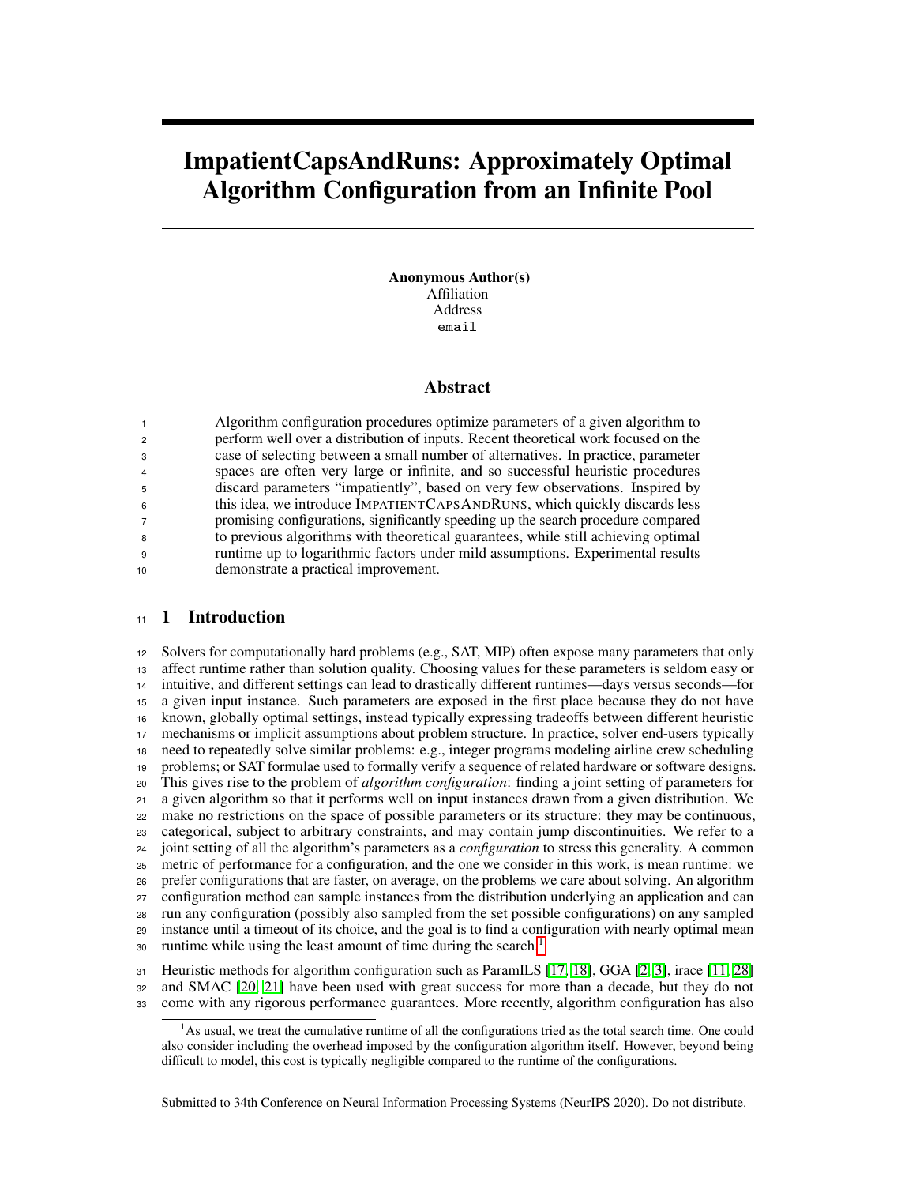# ImpatientCapsAndRuns: Approximately Optimal Algorithm Configuration from an Infinite Pool

Anonymous Author(s) Affiliation Address email

#### Abstract

 Algorithm configuration procedures optimize parameters of a given algorithm to perform well over a distribution of inputs. Recent theoretical work focused on the case of selecting between a small number of alternatives. In practice, parameter spaces are often very large or infinite, and so successful heuristic procedures discard parameters "impatiently", based on very few observations. Inspired by this idea, we introduce IMPATIENTCAPSANDRUNS, which quickly discards less promising configurations, significantly speeding up the search procedure compared to previous algorithms with theoretical guarantees, while still achieving optimal runtime up to logarithmic factors under mild assumptions. Experimental results demonstrate a practical improvement.

# 11 1 Introduction

 Solvers for computationally hard problems (e.g., SAT, MIP) often expose many parameters that only affect runtime rather than solution quality. Choosing values for these parameters is seldom easy or intuitive, and different settings can lead to drastically different runtimes—days versus seconds—for a given input instance. Such parameters are exposed in the first place because they do not have known, globally optimal settings, instead typically expressing tradeoffs between different heuristic mechanisms or implicit assumptions about problem structure. In practice, solver end-users typically need to repeatedly solve similar problems: e.g., integer programs modeling airline crew scheduling problems; or SAT formulae used to formally verify a sequence of related hardware or software designs. This gives rise to the problem of *algorithm configuration*: finding a joint setting of parameters for a given algorithm so that it performs well on input instances drawn from a given distribution. We make no restrictions on the space of possible parameters or its structure: they may be continuous, categorical, subject to arbitrary constraints, and may contain jump discontinuities. We refer to a joint setting of all the algorithm's parameters as a *configuration* to stress this generality. A common metric of performance for a configuration, and the one we consider in this work, is mean runtime: we prefer configurations that are faster, on average, on the problems we care about solving. An algorithm configuration method can sample instances from the distribution underlying an application and can run any configuration (possibly also sampled from the set possible configurations) on any sampled instance until a timeout of its choice, and the goal is to find a configuration with nearly optimal mean runtime while using the least amount of time during the search.<sup>[1](#page-0-0)</sup> 

 Heuristic methods for algorithm configuration such as ParamILS [\[17,](#page-9-0) [18\]](#page-9-1), GGA [\[2,](#page-8-0) [3\]](#page-8-1), irace [\[11,](#page-8-2) [28\]](#page-9-2) and SMAC [\[20,](#page-9-3) [21\]](#page-9-4) have been used with great success for more than a decade, but they do not come with any rigorous performance guarantees. More recently, algorithm configuration has also

Submitted to 34th Conference on Neural Information Processing Systems (NeurIPS 2020). Do not distribute.

<span id="page-0-0"></span>As usual, we treat the cumulative runtime of all the configurations tried as the total search time. One could also consider including the overhead imposed by the configuration algorithm itself. However, beyond being difficult to model, this cost is typically negligible compared to the runtime of the configurations.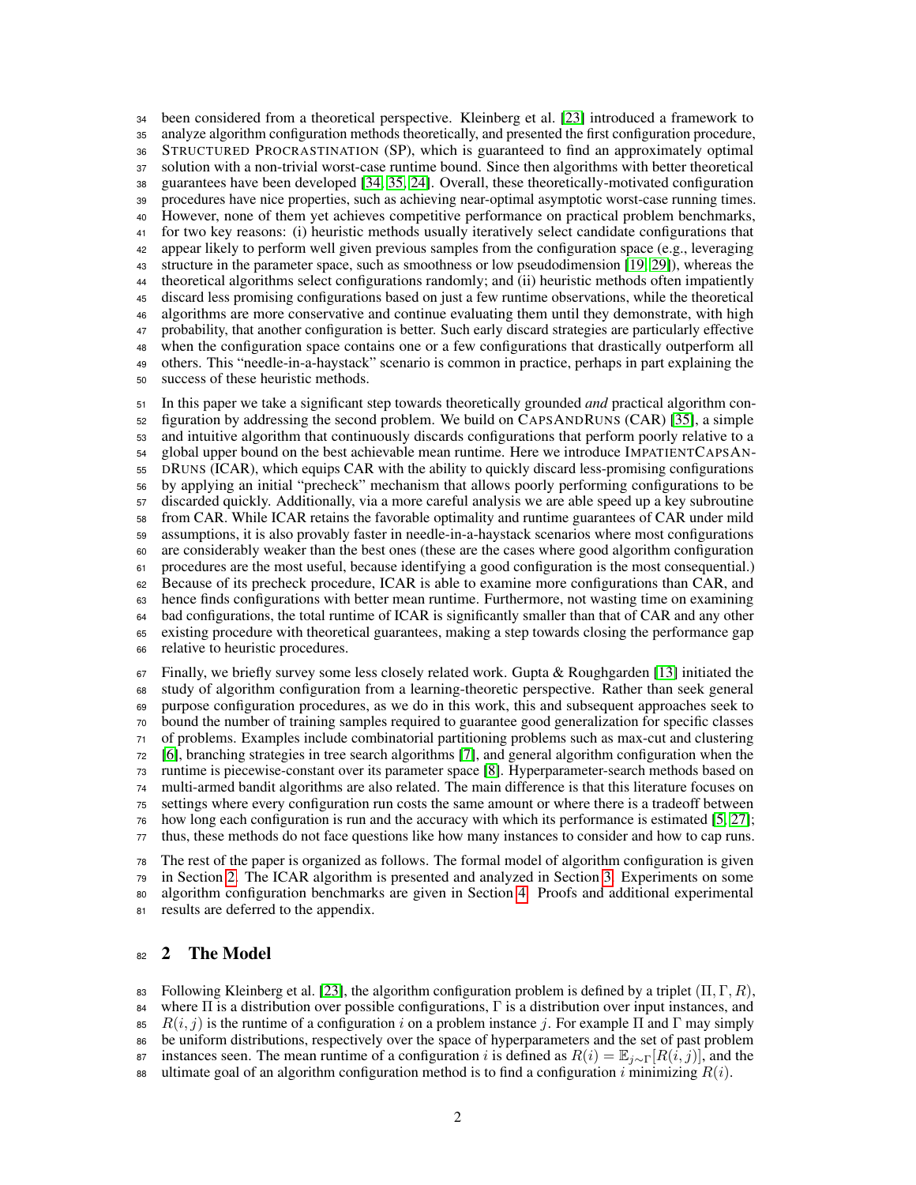been considered from a theoretical perspective. Kleinberg et al. [\[23\]](#page-9-5) introduced a framework to analyze algorithm configuration methods theoretically, and presented the first configuration procedure, STRUCTURED PROCRASTINATION (SP), which is guaranteed to find an approximately optimal solution with a non-trivial worst-case runtime bound. Since then algorithms with better theoretical guarantees have been developed [\[34,](#page-10-0) [35,](#page-10-1) [24\]](#page-9-6). Overall, these theoretically-motivated configuration procedures have nice properties, such as achieving near-optimal asymptotic worst-case running times. However, none of them yet achieves competitive performance on practical problem benchmarks, for two key reasons: (i) heuristic methods usually iteratively select candidate configurations that appear likely to perform well given previous samples from the configuration space (e.g., leveraging structure in the parameter space, such as smoothness or low pseudodimension [\[19,](#page-9-7) [29\]](#page-9-8)), whereas the theoretical algorithms select configurations randomly; and (ii) heuristic methods often impatiently discard less promising configurations based on just a few runtime observations, while the theoretical algorithms are more conservative and continue evaluating them until they demonstrate, with high probability, that another configuration is better. Such early discard strategies are particularly effective when the configuration space contains one or a few configurations that drastically outperform all others. This "needle-in-a-haystack" scenario is common in practice, perhaps in part explaining the success of these heuristic methods.

 In this paper we take a significant step towards theoretically grounded *and* practical algorithm con- figuration by addressing the second problem. We build on CAPSANDRUNS (CAR) [\[35\]](#page-10-1), a simple and intuitive algorithm that continuously discards configurations that perform poorly relative to a global upper bound on the best achievable mean runtime. Here we introduce IMPATIENTCAPSAN- DRUNS (ICAR), which equips CAR with the ability to quickly discard less-promising configurations by applying an initial "precheck" mechanism that allows poorly performing configurations to be discarded quickly. Additionally, via a more careful analysis we are able speed up a key subroutine from CAR. While ICAR retains the favorable optimality and runtime guarantees of CAR under mild assumptions, it is also provably faster in needle-in-a-haystack scenarios where most configurations are considerably weaker than the best ones (these are the cases where good algorithm configuration procedures are the most useful, because identifying a good configuration is the most consequential.) Because of its precheck procedure, ICAR is able to examine more configurations than CAR, and hence finds configurations with better mean runtime. Furthermore, not wasting time on examining bad configurations, the total runtime of ICAR is significantly smaller than that of CAR and any other existing procedure with theoretical guarantees, making a step towards closing the performance gap relative to heuristic procedures.

 Finally, we briefly survey some less closely related work. Gupta & Roughgarden [\[13\]](#page-8-3) initiated the study of algorithm configuration from a learning-theoretic perspective. Rather than seek general purpose configuration procedures, as we do in this work, this and subsequent approaches seek to bound the number of training samples required to guarantee good generalization for specific classes of problems. Examples include combinatorial partitioning problems such as max-cut and clustering [\[6\]](#page-8-4), branching strategies in tree search algorithms [\[7\]](#page-8-5), and general algorithm configuration when the runtime is piecewise-constant over its parameter space [\[8\]](#page-8-6). Hyperparameter-search methods based on multi-armed bandit algorithms are also related. The main difference is that this literature focuses on settings where every configuration run costs the same amount or where there is a tradeoff between how long each configuration is run and the accuracy with which its performance is estimated [\[5,](#page-8-7) [27\]](#page-9-9); thus, these methods do not face questions like how many instances to consider and how to cap runs. The rest of the paper is organized as follows. The formal model of algorithm configuration is given

 in Section [2.](#page-1-0) The ICAR algorithm is presented and analyzed in Section [3.](#page-2-0) Experiments on some algorithm configuration benchmarks are given in Section [4.](#page-6-0) Proofs and additional experimental results are deferred to the appendix.

# <span id="page-1-0"></span>82 2 The Model

83 Following Kleinberg et al. [\[23\]](#page-9-5), the algorithm configuration problem is defined by a triplet  $(\Pi, \Gamma, R)$ , where Π is a distribution over possible configurations, Γ is a distribution over input instances, and 85  $R(i, j)$  is the runtime of a configuration i on a problem instance j. For example  $\Pi$  and  $\Gamma$  may simply be uniform distributions, respectively over the space of hyperparameters and the set of past problem 87 instances seen. The mean runtime of a configuration i is defined as  $R(i) = \mathbb{E}_{i \sim \Gamma}[R(i, j)]$ , and the ultimate goal of an algorithm configuration method is to find a configuration i minimizing  $R(i)$ .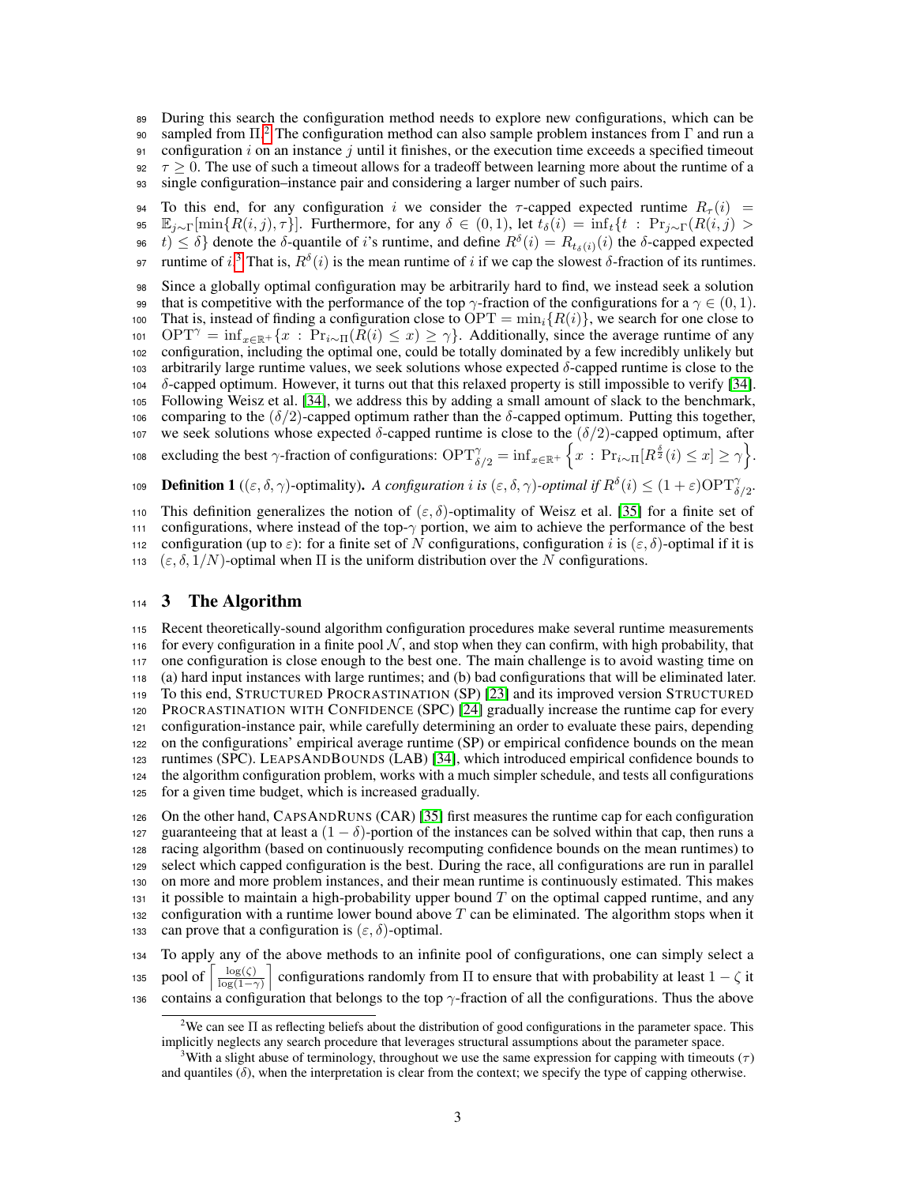<sup>89</sup> During this search the configuration method needs to explore new configurations, which can be

90 sampled from  $\Pi$ <sup>[2](#page-2-1)</sup>. The configuration method can also sample problem instances from Γ and run a 91 configuration i on an instance j until it finishes, or the execution time exceeds a specified timeout

92  $\tau > 0$ . The use of such a timeout allows for a tradeoff between learning more about the runtime of a

<sup>93</sup> single configuration–instance pair and considering a larger number of such pairs.

94 To this end, for any configuration i we consider the  $\tau$ -capped expected runtime  $R_{\tau}(i)$  =

95  $\mathbb{E}_{j\sim\Gamma}[\min\{R(i,j),\tau\}]$ . Furthermore, for any  $\delta\in(0,1)$ , let  $t_{\delta}(i)=\inf_t\{t:\Pr_{j\sim\Gamma}(R(i,j))>$ 

96  $t) \leq \delta$ } denote the δ-quantile of *i*'s runtime, and define  $R^{\delta}(i) = R_{t_{\delta}(i)}(i)$  the δ-capped expected

97 runtime of *i*.<sup>[3](#page-2-2)</sup> That is,  $R^{\delta}(i)$  is the mean runtime of *i* if we cap the slowest δ-fraction of its runtimes.

<sup>98</sup> Since a globally optimal configuration may be arbitrarily hard to find, we instead seek a solution 99 that is competitive with the performance of the top  $\gamma$ -fraction of the configurations for a  $\gamma \in (0,1)$ . 100 That is, instead of finding a configuration close to OPT =  $\min_i \{R(i)\}\)$ , we search for one close to 101 OPT<sup> $\gamma$ </sup> = inf<sub>x∈R+</sub>{x : Pr<sub>i∼Π</sub>( $R(i) \leq x$ ) ≥  $\gamma$ }. Additionally, since the average runtime of any <sup>102</sup> configuration, including the optimal one, could be totally dominated by a few incredibly unlikely but <sup>103</sup> arbitrarily large runtime values, we seek solutions whose expected δ-capped runtime is close to the 104  $\delta$ -capped optimum. However, it turns out that this relaxed property is still impossible to verify [\[34\]](#page-10-0). <sup>105</sup> Following Weisz et al. [\[34\]](#page-10-0), we address this by adding a small amount of slack to the benchmark, <sup>106</sup> comparing to the (δ/2)-capped optimum rather than the δ-capped optimum. Putting this together, 107 we seek solutions whose expected  $\delta$ -capped runtime is close to the  $(\delta/2)$ -capped optimum, after 108 excluding the best  $\gamma$ -fraction of configurations:  $\text{OPT}^{\gamma}_{\delta/2} = \inf_{x \in \mathbb{R}^+} \left\{ x : \text{Pr}_{i \sim \Pi} [R^{\frac{\delta}{2}}(i) \leq x] \geq \gamma \right\}$ . **Definition 1** (( $\varepsilon, \delta, \gamma$ )-optimality). *A configuration i is* ( $\varepsilon, \delta, \gamma$ )-*optimal if*  $R^{\delta}(i) \leq (1 + \varepsilon) \text{OPT}^{\gamma}_{\delta/2}$ .

110 This definition generalizes the notion of  $(\varepsilon, \delta)$ -optimality of Weisz et al. [\[35\]](#page-10-1) for a finite set of <sup>111</sup> configurations, where instead of the top-γ portion, we aim to achieve the performance of the best 112 configuration (up to  $\varepsilon$ ): for a finite set of N configurations, configuration i is  $(\varepsilon, \delta)$ -optimal if it is 113 ( $\varepsilon$ ,  $\delta$ ,  $1/N$ )-optimal when  $\Pi$  is the uniform distribution over the N configurations.

# <span id="page-2-0"></span><sup>114</sup> 3 The Algorithm

 Recent theoretically-sound algorithm configuration procedures make several runtime measurements 116 for every configuration in a finite pool  $N$ , and stop when they can confirm, with high probability, that one configuration is close enough to the best one. The main challenge is to avoid wasting time on (a) hard input instances with large runtimes; and (b) bad configurations that will be eliminated later. To this end, STRUCTURED PROCRASTINATION (SP) [\[23\]](#page-9-5) and its improved version STRUCTURED PROCRASTINATION WITH CONFIDENCE (SPC) [\[24\]](#page-9-6) gradually increase the runtime cap for every configuration-instance pair, while carefully determining an order to evaluate these pairs, depending on the configurations' empirical average runtime (SP) or empirical confidence bounds on the mean runtimes (SPC). LEAPSANDBOUNDS (LAB) [\[34\]](#page-10-0), which introduced empirical confidence bounds to the algorithm configuration problem, works with a much simpler schedule, and tests all configurations for a given time budget, which is increased gradually.

<sup>126</sup> On the other hand, CAPSANDRUNS (CAR) [\[35\]](#page-10-1) first measures the runtime cap for each configuration 127 guaranteeing that at least a  $(1 - \delta)$ -portion of the instances can be solved within that cap, then runs a <sup>128</sup> racing algorithm (based on continuously recomputing confidence bounds on the mean runtimes) to <sup>129</sup> select which capped configuration is the best. During the race, all configurations are run in parallel <sup>130</sup> on more and more problem instances, and their mean runtime is continuously estimated. This makes 131 it possible to maintain a high-probability upper bound  $T$  on the optimal capped runtime, and any 132 configuration with a runtime lower bound above  $T$  can be eliminated. The algorithm stops when it 133 can prove that a configuration is  $(\varepsilon, \delta)$ -optimal.

<sup>134</sup> To apply any of the above methods to an infinite pool of configurations, one can simply select a pool of  $\log(\zeta)$ 135 pool of  $\left\lceil \frac{\log(\zeta)}{\log(1-\gamma)} \right\rceil$  configurations randomly from  $\Pi$  to ensure that with probability at least  $1-\zeta$  it 136 contains a configuration that belongs to the top  $\gamma$ -fraction of all the configurations. Thus the above

<span id="page-2-1"></span><sup>&</sup>lt;sup>2</sup>We can see  $\Pi$  as reflecting beliefs about the distribution of good configurations in the parameter space. This implicitly neglects any search procedure that leverages structural assumptions about the parameter space.

<span id="page-2-2"></span><sup>&</sup>lt;sup>3</sup>With a slight abuse of terminology, throughout we use the same expression for capping with timeouts ( $\tau$ ) and quantiles  $(\delta)$ , when the interpretation is clear from the context; we specify the type of capping otherwise.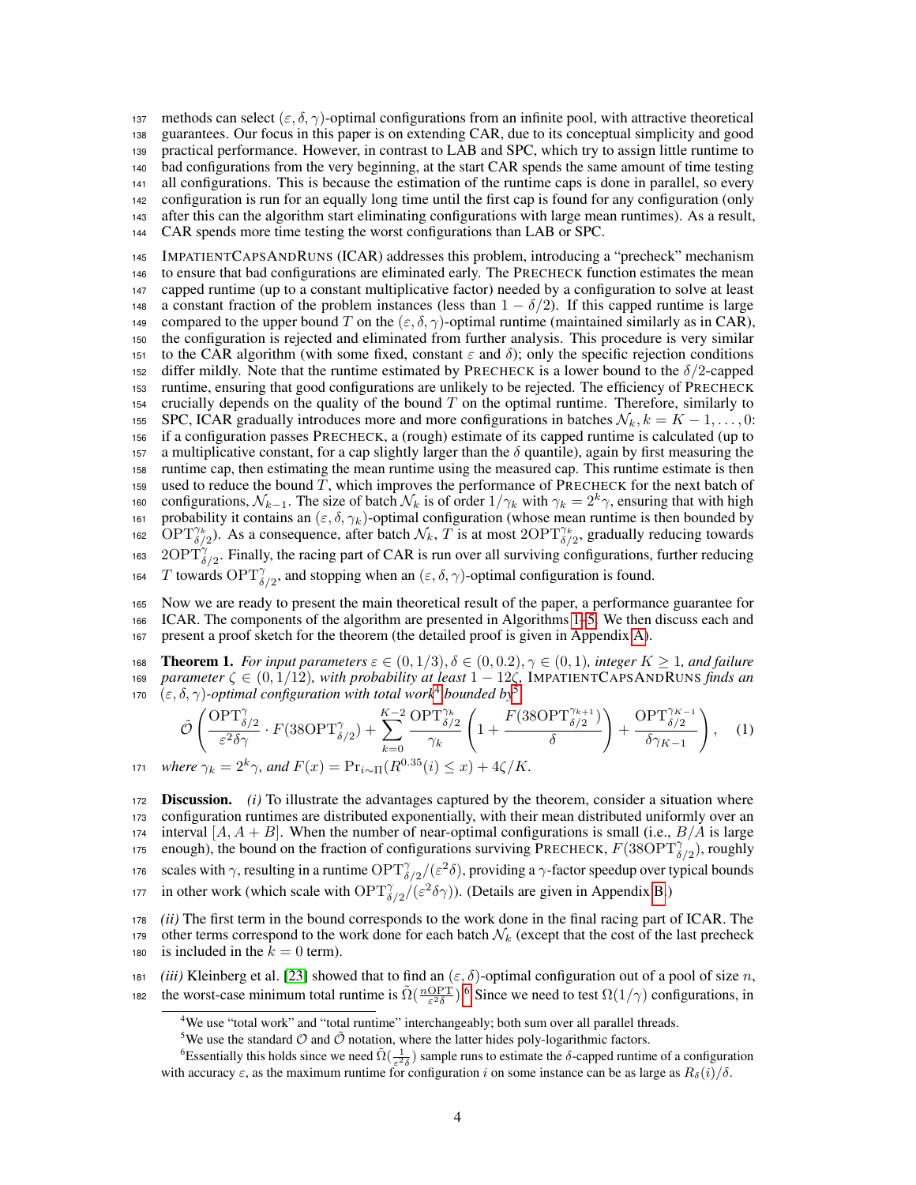137 methods can select  $(\varepsilon, \delta, \gamma)$ -optimal configurations from an infinite pool, with attractive theoretical guarantees. Our focus in this paper is on extending CAR, due to its conceptual simplicity and good practical performance. However, in contrast to LAB and SPC, which try to assign little runtime to bad configurations from the very beginning, at the start CAR spends the same amount of time testing all configurations. This is because the estimation of the runtime caps is done in parallel, so every configuration is run for an equally long time until the first cap is found for any configuration (only after this can the algorithm start eliminating configurations with large mean runtimes). As a result, CAR spends more time testing the worst configurations than LAB or SPC.

<sup>145</sup> IMPATIENTCAPSANDRUNS (ICAR) addresses this problem, introducing a "precheck" mechanism <sup>146</sup> to ensure that bad configurations are eliminated early. The PRECHECK function estimates the mean <sup>147</sup> capped runtime (up to a constant multiplicative factor) needed by a configuration to solve at least 148 a constant fraction of the problem instances (less than  $1 - \delta/2$ ). If this capped runtime is large 149 compared to the upper bound T on the  $(\varepsilon, \delta, \gamma)$ -optimal runtime (maintained similarly as in CAR), <sup>150</sup> the configuration is rejected and eliminated from further analysis. This procedure is very similar 151 to the CAR algorithm (with some fixed, constant  $\varepsilon$  and  $\delta$ ); only the specific rejection conditions 152 differ mildly. Note that the runtime estimated by PRECHECK is a lower bound to the  $\delta/2$ -capped <sup>153</sup> runtime, ensuring that good configurations are unlikely to be rejected. The efficiency of PRECHECK 154 crucially depends on the quality of the bound  $T$  on the optimal runtime. Therefore, similarly to 155 SPC, ICAR gradually introduces more and more configurations in batches  $\mathcal{N}_k$ ,  $k = K - 1, \ldots, 0$ : <sup>156</sup> if a configuration passes PRECHECK, a (rough) estimate of its capped runtime is calculated (up to 157 a multiplicative constant, for a cap slightly larger than the  $\delta$  quantile), again by first measuring the <sup>158</sup> runtime cap, then estimating the mean runtime using the measured cap. This runtime estimate is then 159 used to reduce the bound  $T$ , which improves the performance of PRECHECK for the next batch of 160 configurations,  $\mathcal{N}_{k-1}$ . The size of batch  $\mathcal{N}_k$  is of order  $1/\gamma_k$  with  $\gamma_k = 2^k \gamma$ , ensuring that with high 161 probability it contains an  $(\varepsilon, \delta, \gamma_k)$ -optimal configuration (whose mean runtime is then bounded by 162 OPT $\gamma_{\delta/2}^k$ ). As a consequence, after batch  $\mathcal{N}_k$ , T is at most 2OPT $\gamma_{\delta/2}^k$ , gradually reducing towards 163 2OPT $\hat{f}_{\delta/2}$ . Finally, the racing part of CAR is run over all surviving configurations, further reducing

164 *T* towards 
$$
\text{OPT}_{\delta/2}^{\gamma}
$$
, and stopping when an  $(\varepsilon, \delta, \gamma)$ -optimal configuration is found.

<sup>165</sup> Now we are ready to present the main theoretical result of the paper, a performance guarantee for <sup>166</sup> ICAR. The components of the algorithm are presented in Algorithms [1–5.](#page-4-0) We then discuss each and <sup>167</sup> present a proof sketch for the theorem (the detailed proof is given in Appendix [A\)](#page-11-0).

<span id="page-3-3"></span>168 **Theorem 1.** For input parameters  $\varepsilon \in (0,1/3), \delta \in (0,0.2), \gamma \in (0,1)$ , integer  $K \geq 1$ , and failure <sup>169</sup> *parameter* ζ ∈ (0, 1/12)*, with probability at least* 1 − 12ζ*,* IMPATIENTCAPSANDRUNS *finds an* (ε, δ, γ)*-optimal configuration with total work*[4](#page-3-0) *bounded by*[5](#page-3-1) 170

<span id="page-3-4"></span>
$$
\tilde{\mathcal{O}}\left(\frac{\text{OPT}_{\delta/2}^{\gamma}}{\varepsilon^2 \delta \gamma} \cdot F(38\text{OPT}_{\delta/2}^{\gamma}) + \sum_{k=0}^{K-2} \frac{\text{OPT}_{\delta/2}^{\gamma_k}}{\gamma_k} \left(1 + \frac{F(38\text{OPT}_{\delta/2}^{\gamma_{k+1}})}{\delta}\right) + \frac{\text{OPT}_{\delta/2}^{\gamma_{K-1}}}{\delta \gamma_{K-1}}\right), \quad (1)
$$
\n
$$
\text{where } \gamma_k = 2^k \gamma, \text{ and } F(x) = \Pr_{i \sim \Pi}(R^{0.35}(i) \le x) + 4\zeta/K.
$$

<sup>172</sup> Discussion. *(i)* To illustrate the advantages captured by the theorem, consider a situation where <sup>173</sup> configuration runtimes are distributed exponentially, with their mean distributed uniformly over an 174 interval  $[A, A + B]$ . When the number of near-optimal configurations is small (i.e.,  $B/A$  is large 175 enough), the bound on the fraction of configurations surviving PRECHECK,  $F(38\text{OPT}_{\delta/2}^{\gamma})$ , roughly 176 scales with γ, resulting in a runtime  $\text{OPT}^{\gamma}_{\delta/2}/(\varepsilon^2\delta)$ , providing a γ-factor speedup over typical bounds 177 in other work (which scale with  $\text{OPT}^{\gamma}_{\delta/2}/(\varepsilon^2 \delta \gamma)$ ). (Details are given in Appendix [B.](#page-16-0)) <sup>178</sup> *(ii)* The first term in the bound corresponds to the work done in the final racing part of ICAR. The 179 other terms correspond to the work done for each batch  $\mathcal{N}_k$  (except that the cost of the last precheck

180 is included in the  $k = 0$  term).

181 *(iii)* Kleinberg et al. [\[23\]](#page-9-5) showed that to find an  $(\varepsilon, \delta)$ -optimal configuration out of a pool of size n, the worst-case minimum total runtime is  $\tilde{\Omega}(\frac{n\text{OPT}}{\varepsilon^2\delta})$ .<sup>[6](#page-3-2)</sup> Since we need to test  $\Omega(1/\gamma)$  configurations, in

<span id="page-3-0"></span><sup>&</sup>lt;sup>4</sup>We use "total work" and "total runtime" interchangeably; both sum over all parallel threads.

<span id="page-3-2"></span><span id="page-3-1"></span><sup>&</sup>lt;sup>5</sup>We use the standard  $\hat{O}$  and  $\tilde{O}$  notation, where the latter hides poly-logarithmic factors.

<sup>&</sup>lt;sup>6</sup>Essentially this holds since we need  $\tilde{\Omega}(\frac{1}{\varepsilon^2 \delta})$  sample runs to estimate the  $\delta$ -capped runtime of a configuration with accuracy  $\varepsilon$ , as the maximum runtime for configuration i on some instance can be as large as  $R_\delta(i)/\delta$ .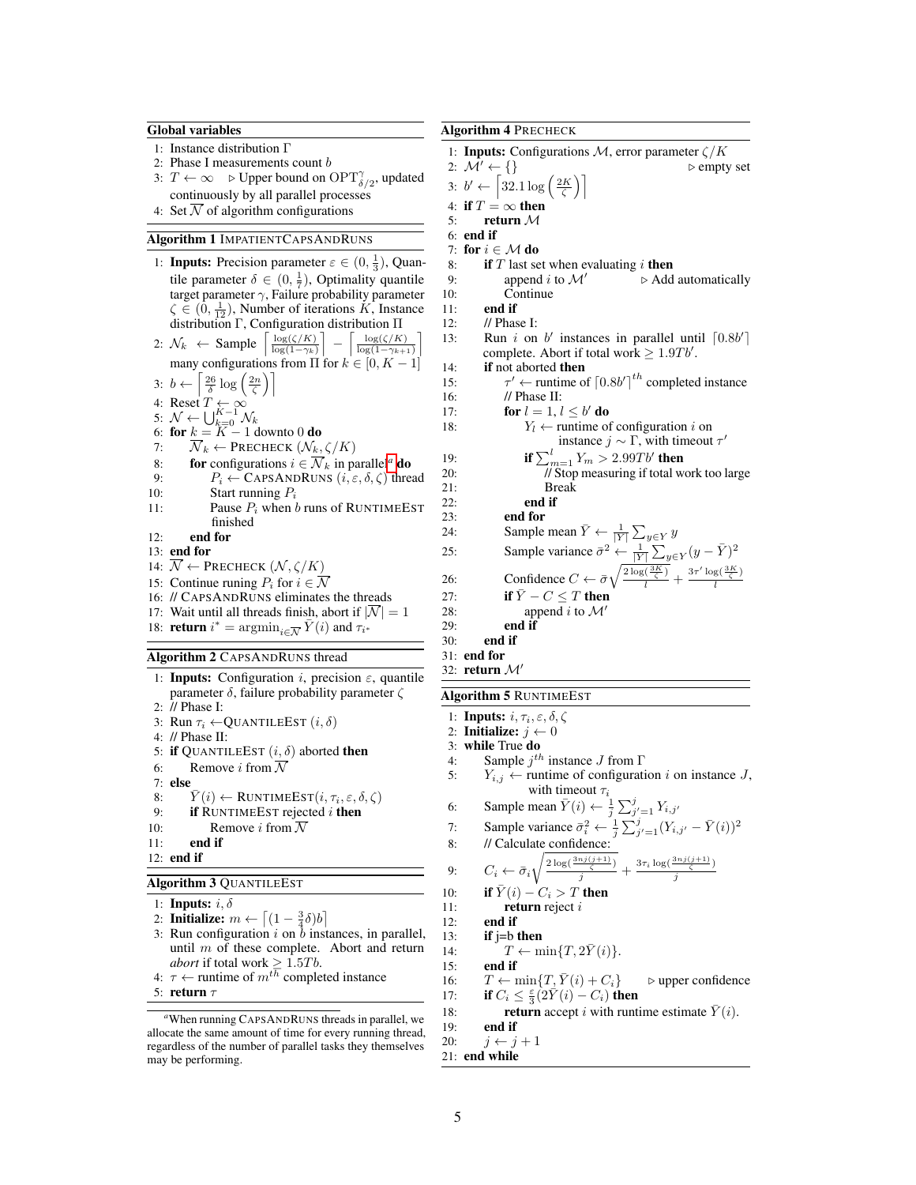#### <span id="page-4-0"></span>Global variables

- 1: Instance distribution Γ
- 2: Phase I measurements count b
- 3:  $T \leftarrow \infty$  > Upper bound on  $\text{OPT}^{\gamma}_{\delta/2}$ , updated continuously by all parallel processes
- 4: Set  $\overline{\mathcal{N}}$  of algorithm configurations

# Algorithm 1 IMPATIENTCAPSANDRUNS

- 1: **Inputs:** Precision parameter  $\varepsilon \in (0, \frac{1}{3})$ , Quantile parameter  $\delta \in (0, \frac{1}{7})$ , Optimality quantile target parameter  $\gamma$ , Failure probability parameter  $\zeta \in (0, \frac{1}{12})$ , Number of iterations K, Instance distribution Γ, Configuration distribution Π 2:  $\mathcal{N}_k \leftarrow$  Sample  $\left\lceil \frac{\log(\zeta/K)}{\log(1-\gamma_k)} \right\rceil - \left\lceil \frac{\log(\zeta/K)}{\log(1-\gamma_{k+1})} \right\rceil$ many configurations from Π for  $k \in [0, K - 1]$ 3:  $b \leftarrow \left\lceil \frac{26}{\delta} \log \left( \frac{2n}{\zeta} \right) \right\rceil$ 4: Reset  $T \leftarrow \infty$ 5:  $\mathcal{N} \leftarrow \bigcup_{k=0}^{K-1} \mathcal{N}_k$ <br>6: **for**  $k = K - 1$  downto 0 **do** 7:  $\overline{\mathcal{N}}_k \leftarrow \text{Precheck}(\mathcal{N}_k, \zeta/K)$ 8: **for** configur[a](#page-4-1)tions  $i \in \overline{\mathcal{N}}_k$  in parallel<sup>*a*</sup> **do**<br>9:  $P_i \leftarrow \text{CapsANDRIINS} (i \in \delta, \zeta)$  thre 9:  $P_i \leftarrow \text{CAPSANDRUNS} (i, \varepsilon, \delta, \zeta) \text{ thread}$ <br>10: Start running  $P_i$ Start running  $P_i$ 11: Pause  $P_i$  when b runs of RUNTIMEEST finished 12: end for
- 13: end for
- 14:  $\mathcal{N} \leftarrow$  PRECHECK  $(\mathcal{N}, \zeta/K)$
- 15: Continue runing  $P_i$  for  $i \in \overline{\mathcal{N}}$
- 16: // CAPSANDRUNS eliminates the threads 17: Wait until all threads finish, abort if  $|\mathcal{N}| = 1$
- 18: **return**  $i^* = \operatorname{argmin}_{i \in \overline{\mathcal{N}}} \overline{Y}(i)$  and  $\tau_{i^*}$

#### Algorithm 2 CAPSANDRUNS thread

- 1: **Inputs:** Configuration *i*, precision  $\varepsilon$ , quantile parameter δ, failure probability parameter ζ 2: // Phase I: 3: Run  $\tau_i \leftarrow$ QUANTILEEST  $(i, \delta)$ 4: // Phase II: 5: if QUANTILEEST  $(i, \delta)$  aborted then 6: Remove *i* from  $\overline{\mathcal{N}}$ <br>7: **else** 7: **else**  $8:$ 8:  $\bar{Y}(i) \leftarrow \text{RUNTIMEEST}(i, \tau_i, \varepsilon, \delta, \zeta)$ 9: if RUNTIMEEST rejected  $i$  then 10: Remove *i* from  $\overline{\mathcal{N}}$ 11: end if 12: end if Algorithm 3 QUANTILEEST 1: **Inputs:**  $i, \delta$ 2: Initialize:  $m \leftarrow \left[ (1 - \frac{3}{4}\delta)b \right]$ 3: Run configuration  $i$  on  $b$  instances, in parallel, until  $m$  of these complete. Abort and return
- *abort* if total work  $\geq 1.5Tb$ . 4:  $\tau \leftarrow$  runtime of  $m^{t\overline{h}}$  completed instance
- 5: return  $\tau$

Algorithm 4 PRECHECK

 $15:$ 

1: Inputs: Configurations  $\mathcal{M}$ , error parameter  $\zeta/K$ 2:  $\mathcal{M}' \leftarrow \{\}$  b empty set 3:  $b' \leftarrow \left[32.1 \log \left(\frac{2K}{\zeta}\right)\right]$ 4: if  $T = \infty$  then<br>5: return  $\mathcal M$ return M 6: end if 7: for  $i \in \mathcal{M}$  do 8: if  $T$  last set when evaluating  $i$  then 9: append *i* to  $\mathcal{M}'$  b Add automatically 10: Continue Continue 11: end if 12: // Phase I: 13: Run i on  $b'$  instances in parallel until  $\lceil 0.8b' \rceil$ complete. Abort if total work  $\geq 1.9Tb'$ . 14: if not aborted then '  $\leftarrow$  runtime of  $\left[0.8b'\right]^{th}$  completed instance 16: // Phase II: 17: **for**  $l = 1, l \leq b'$  **do** 18:  $Y_l \leftarrow$  runtime of configuration *i* on instance  $j \sim \Gamma$ , with timeout  $\tau'$ 19: **if**  $\sum_{m=1}^{l} Y_m > 2.99Tb'$  then 20: // Stop measuring if total work too large 21: Break<br>22: **end if** end if 23: end for 24: Sample mean  $\bar{Y} \leftarrow \frac{1}{|Y|} \sum_{y \in Y} y$ 25: Sample variance  $\bar{\sigma}^2 \leftarrow \frac{1}{|Y|} \sum_{y \in Y} (y - \bar{Y})^2$ 26: Confidence  $C \leftarrow \bar{\sigma} \sqrt{\frac{2 \log(\frac{3K}{\zeta})}{l}} + \frac{3\tau' \log(\frac{3K}{\zeta})}{l}$ l 27: if  $\bar{Y} - C \leq T$  then 28: append i to  $\mathcal{M}'$ 29: **end if**  $30$ : **end if** end if 31: end for 32: return  $\mathcal{M}^{\prime}$ Algorithm 5 RUNTIMEEST 1: Inputs:  $i, \tau_i, \varepsilon, \delta, \zeta$ 2: **Initialize:**  $j \leftarrow 0$ 3: while True do 4: Sample  $j^{th}$  instance J from  $\Gamma$ 5:  $Y_{i,j} \leftarrow$  runtime of configuration i on instance J, with timeout  $\tau_i$ 6: Sample mean  $\bar{Y}(i) \leftarrow \frac{1}{j} \sum_{j'=1}^{j} Y_{i,j'}$ 7: Sample variance  $\bar{\sigma}_i^2 \leftarrow \frac{1}{j} \sum_{j'=1}^j (Y_{i,j'} - \bar{Y}(i))^2$ 8: // Calculate confidence: 9:  $C_i \leftarrow \bar{\sigma}_i$  $\sqrt{\frac{2\log(\frac{3nj(j+1)}{\zeta})}{j}} + \frac{3\tau_i\log(\frac{3nj(j+1)}{\zeta})}{j}$ j 10: **if**  $\bar{Y}(i) - C_i > T$  then 11: **return** reject *i* 12: **end if**<br>13: **if**  $j=b$  1  $if$  j=b then

14:  $T \leftarrow \min\{T, 2Y(i)\}.$ 15: end if 16:  $T \leftarrow \min\{T, \bar{Y}(i) + C_i\}$  b upper confidence<br>17: **if**  $C_i < \frac{\epsilon}{2} (2\bar{Y}(i) - C_i)$  then 17: if  $C_i \leq \frac{\varepsilon}{3}(2\overline{Y}(i) - C_i)$  then

18: **return** accept *i* with runtime estimate  $\overline{Y}(i)$ .<br>19: **end if** 

end if

20:  $j \leftarrow j + 1$ 21: end while

<span id="page-4-1"></span>*<sup>a</sup>*When running CAPSANDRUNS threads in parallel, we allocate the same amount of time for every running thread, regardless of the number of parallel tasks they themselves may be performing.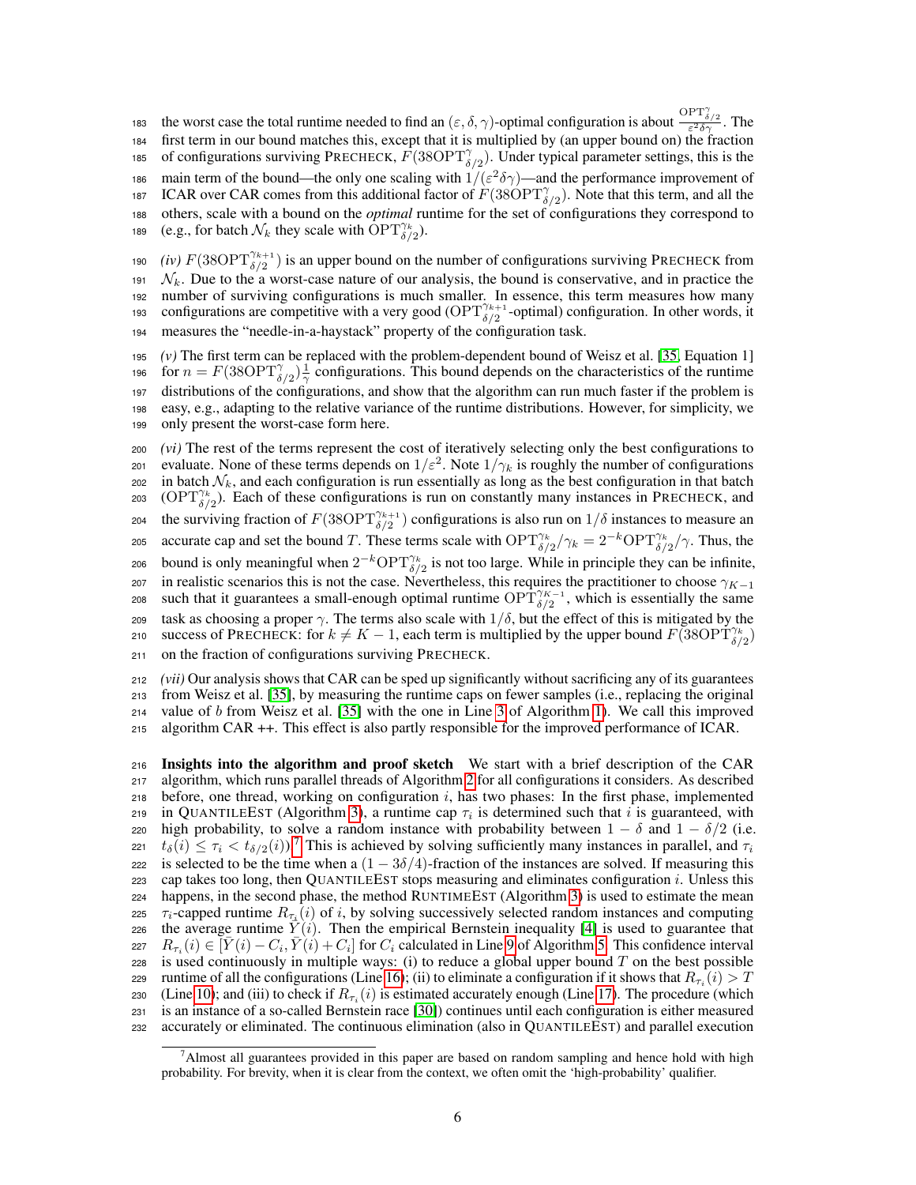the worst case the total runtime needed to find an  $(\varepsilon, \delta, \gamma)$ -optimal configuration is about  $\frac{\text{OPT}_{\delta/2}^{\gamma}}{\varepsilon^2 \delta \gamma}$ . The <sup>184</sup> first term in our bound matches this, except that it is multiplied by (an upper bound on) the fraction 185 of configurations surviving PRECHECK,  $\vec{F}$ (38OPT $\gamma_{\delta/2}$ ). Under typical parameter settings, this is the 186 main term of the bound—the only one scaling with  $1/(\varepsilon^2 \delta \gamma)$ —and the performance improvement of 187 ICAR over CAR comes from this additional factor of  $F(38\overline{OPT}^{\gamma}_{\delta/2})$ . Note that this term, and all the <sup>188</sup> others, scale with a bound on the *optimal* runtime for the set of configurations they correspond to 189 (e.g., for batch  $\mathcal{N}_k$  they scale with  $\text{OPT}_{\delta/2}^{\gamma_k}$ ).

*(iv)*  $F(38\text{OPT}_{\delta/2}^{\gamma_{k+1}})$  is an upper bound on the number of configurations surviving PRECHECK from  $\mathcal{N}_k$ . Due to the a worst-case nature of our analysis, the bound is conservative, and in practice the number of surviving configurations is much smaller. In essence, this term measures how many configurations are competitive with a very good ( $\text{OPT}^{\gamma_{k+1}}_{\delta/2}$ -optimal) configuration. In other words, it measures the "needle-in-a-haystack" property of the configuration task.

 $(v)$  The first term can be replaced with the problem-dependent bound of Weisz et al. [\[35,](#page-10-1) Equation 1] 196 for  $n = F(38\text{OPT}_{\delta/2}^{\gamma})\frac{1}{\gamma}$  configurations. This bound depends on the characteristics of the runtime distributions of the configurations, and show that the algorithm can run much faster if the problem is easy, e.g., adapting to the relative variance of the runtime distributions. However, for simplicity, we only present the worst-case form here.

<sup>200</sup> *(vi)* The rest of the terms represent the cost of iteratively selecting only the best configurations to evaluate. None of these terms depends on  $1/\varepsilon^2$ . Note  $1/\gamma_k$  is roughly the number of configurations 202 in batch  $\mathcal{N}_k$ , and each configuration is run essentially as long as the best configuration in that batch 203 (OPT $\gamma_{\delta/2}^k$ ). Each of these configurations is run on constantly many instances in PRECHECK, and 204 the surviving fraction of  $F(38OPT_{\delta/2}^{\gamma_{k+1}})$  configurations is also run on  $1/\delta$  instances to measure an 205 accurate cap and set the bound T. These terms scale with  $\text{OPT}^{\gamma_k}_{\delta/2}/\gamma_k = 2^{-k} \text{OPT}^{\gamma_k}_{\delta/2}/\gamma$ . Thus, the 206 bound is only meaningful when  $2^{-k} \text{OPT}_{\delta/2}^{\gamma_k}$  is not too large. While in principle they can be infinite, 207 in realistic scenarios this is not the case. Nevertheless, this requires the practitioner to choose  $\gamma_{K-1}$ <br>208 such that it guarantees a small-enough optimal runtime  $\text{OPT}_{\delta/2}^{\gamma_{K-1}}$ , which is essentially the s 209 task as choosing a proper  $\gamma$ . The terms also scale with  $1/\delta$ , but the effect of this is mitigated by the 210 success of PRECHECK: for  $k \neq K - 1$ , each term is multiplied by the upper bound  $F(38\text{OPT}_{\delta/2}^{T/k})$ <sup>211</sup> on the fraction of configurations surviving PRECHECK.

 *(vii)* Our analysis shows that CAR can be sped up significantly without sacrificing any of its guarantees from Weisz et al. [\[35\]](#page-10-1), by measuring the runtime caps on fewer samples (i.e., replacing the original value of b from Weisz et al. [\[35\]](#page-10-1) with the one in Line [3](#page-4-0) of Algorithm [1\)](#page-4-0). We call this improved algorithm CAR ++. This effect is also partly responsible for the improved performance of ICAR.

<sup>216</sup> Insights into the algorithm and proof sketch We start with a brief description of the CAR <sup>217</sup> algorithm, which runs parallel threads of Algorithm [2](#page-4-0) for all configurations it considers. As described 218 before, one thread, working on configuration  $i$ , has two phases: In the first phase, implemented 219 in QUANTILEEST (Algorithm [3\)](#page-4-0), a runtime cap  $\tau_i$  is determined such that i is guaranteed, with 220 high probability, to solve a random instance with probability between  $1 - \delta$  and  $1 - \delta/2$  (i.e.  $t_\delta(i) \leq \tau_i < t_{\delta/2}(i)$ ).<sup>[7](#page-5-0)</sup> This is achieved by solving sufficiently many instances in parallel, and  $\tau_i$ 222 is selected to be the time when a  $(1 - 3\delta/4)$ -fraction of the instances are solved. If measuring this <sup>223</sup> cap takes too long, then QUANTILEEST stops measuring and eliminates configuration i. Unless this <sup>224</sup> happens, in the second phase, the method RUNTIMEEST (Algorithm [3\)](#page-4-0) is used to estimate the mean 225  $\tau_i$ -capped runtime  $R_{\tau_i}(i)$  of i, by solving successively selected random instances and computing 226 the average runtime  $\bar{Y}(i)$ . Then the empirical Bernstein inequality [\[4\]](#page-8-8) is used to guarantee that 227  $R_{\tau_i}(i) \in [\bar{Y}(i) - C_i, \bar{Y}(i) + C_i]$  for  $C_i$  calculated in Line [9](#page-4-0) of Algorithm [5.](#page-4-0) This confidence interval 228 is used continuously in multiple ways: (i) to reduce a global upper bound  $T$  on the best possible zes runtime of all the configurations (Line [16\)](#page-4-0); (ii) to eliminate a configuration if it shows that  $R_{\tau_i}(i) > T$ 230 (Line [10\)](#page-4-0); and (iii) to check if  $R_{\tau_i}(i)$  is estimated accurately enough (Line [17\)](#page-4-0). The procedure (which <sup>231</sup> is an instance of a so-called Bernstein race [\[30\]](#page-9-10)) continues until each configuration is either measured <sup>232</sup> accurately or eliminated. The continuous elimination (also in QUANTILEEST) and parallel execution

<span id="page-5-0"></span><sup>7</sup>Almost all guarantees provided in this paper are based on random sampling and hence hold with high probability. For brevity, when it is clear from the context, we often omit the 'high-probability' qualifier.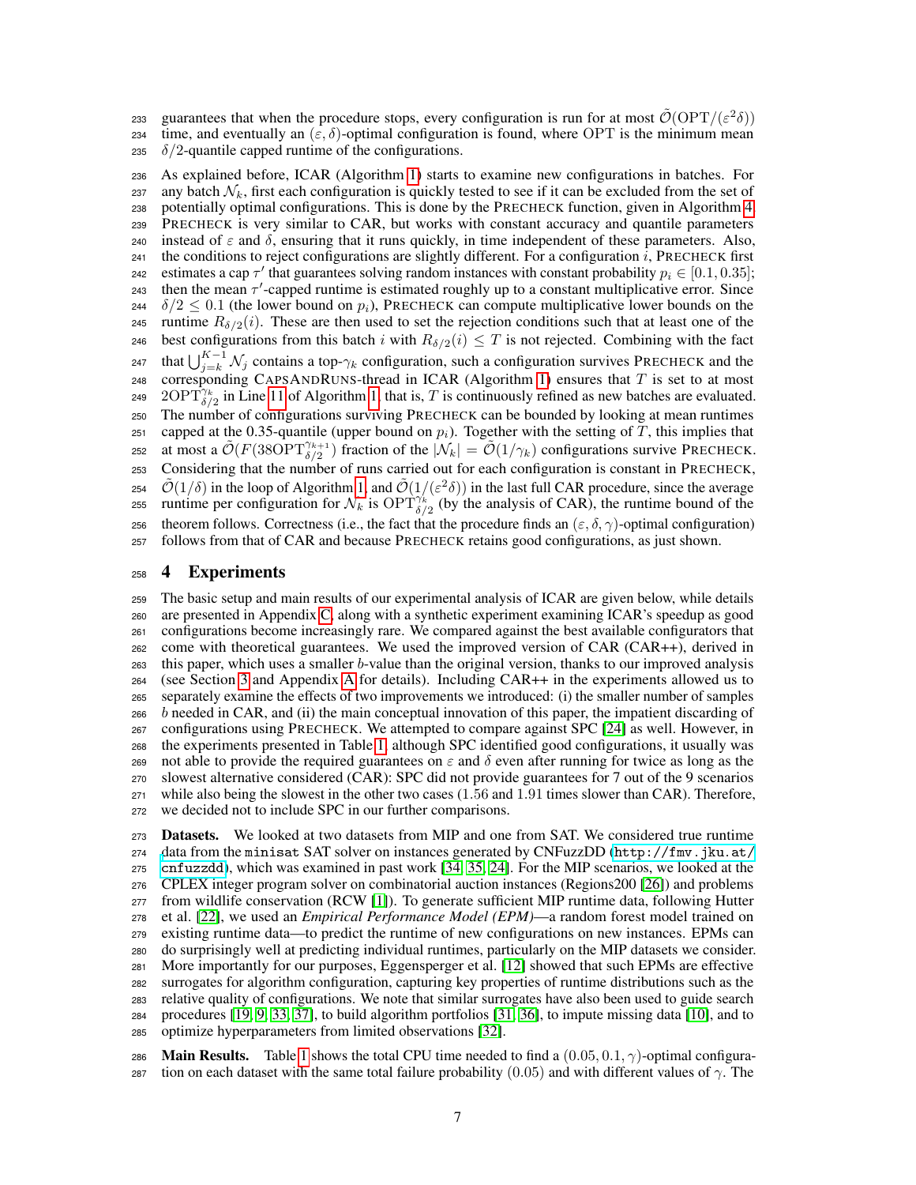guarantees that when the procedure stops, every configuration is run for at most  $\tilde{\mathcal{O}}(\text{OPT}/(\varepsilon^2 \delta))$ 234 time, and eventually an (ε, δ)-optimal configuration is found, where OPT is the minimum mean

235  $\delta/2$ -quantile capped runtime of the configurations.

 As explained before, ICAR (Algorithm [1\)](#page-4-0) starts to examine new configurations in batches. For 237 any batch  $\mathcal{N}_k$ , first each configuration is quickly tested to see if it can be excluded from the set of potentially optimal configurations. This is done by the PRECHECK function, given in Algorithm [4.](#page-4-0) PRECHECK is very similar to CAR, but works with constant accuracy and quantile parameters 240 instead of  $ε$  and  $δ$ , ensuring that it runs quickly, in time independent of these parameters. Also, 241 the conditions to reject configurations are slightly different. For a configuration i, PRECHECK first 242 estimates a cap  $\tau'$  that guarantees solving random instances with constant probability  $p_i \in [0.1, 0.35]$ ; 243 then the mean  $\tau'$ -capped runtime is estimated roughly up to a constant multiplicative error. Since 244  $\delta/2 \leq 0.1$  (the lower bound on  $p_i$ ), PRECHECK can compute multiplicative lower bounds on the 245 runtime  $R_{\delta/2}(i)$ . These are then used to set the rejection conditions such that at least one of the 246 best configurations from this batch i with  $R_{\delta/2}(i) \leq T$  is not rejected. Combining with the fact 247 that  $\bigcup_{j=k}^{K-1} \mathcal{N}_j$  contains a top- $\gamma_k$  configuration, such a configuration survives PRECHECK and the 248 corresponding CAPSANDRUNS-thread in ICAR (Algorithm [1\)](#page-4-0) ensures that  $T$  is set to at most 249  $2\text{OPT}_{\delta/2}^{\gamma_k}$  in Line [11](#page-4-0) of Algorithm [1,](#page-4-0) that is, T is continuously refined as new batches are evaluated. The number of configurations surviving PRECHECK can be bounded by looking at mean runtimes 251 capped at the 0.35-quantile (upper bound on  $p_i$ ). Together with the setting of T, this implies that 252 at most a  $\tilde{\mathcal{O}}(F(38\text{OPT}_{\delta/2}^{\gamma_{k+1}})$  fraction of the  $|\mathcal{N}_k| = \tilde{\mathcal{O}}(1/\gamma_k)$  configurations survive PRECHECK. Considering that the number of runs carried out for each configuration is constant in PRECHECK, 254  $\tilde{\mathcal{O}}(1/\delta)$  in the loop of Algorithm [1,](#page-4-0) and  $\tilde{\mathcal{O}}(1/(\varepsilon^2 \delta))$  in the last full CAR procedure, since the average 255 runtime per configuration for  $\mathcal{N}_k$  is  $\text{OPT}^{\gamma_k}_{\delta/2}$  (by the analysis of CAR), the runtime bound of the 256 theorem follows. Correctness (i.e., the fact that the procedure finds an  $(\varepsilon, \delta, \gamma)$ -optimal configuration) follows from that of CAR and because PRECHECK retains good configurations, as just shown.

#### <span id="page-6-0"></span>4 Experiments

 The basic setup and main results of our experimental analysis of ICAR are given below, while details are presented in Appendix [C,](#page-17-0) along with a synthetic experiment examining ICAR's speedup as good configurations become increasingly rare. We compared against the best available configurators that come with theoretical guarantees. We used the improved version of CAR (CAR++), derived in this paper, which uses a smaller b-value than the original version, thanks to our improved analysis (see Section [3](#page-2-0) and Appendix [A](#page-11-0) for details). Including CAR++ in the experiments allowed us to separately examine the effects of two improvements we introduced: (i) the smaller number of samples b needed in CAR, and (ii) the main conceptual innovation of this paper, the impatient discarding of configurations using PRECHECK. We attempted to compare against SPC [\[24\]](#page-9-6) as well. However, in the experiments presented in Table [1,](#page-7-0) although SPC identified good configurations, it usually was 269 not able to provide the required guarantees on  $\varepsilon$  and  $\delta$  even after running for twice as long as the slowest alternative considered (CAR): SPC did not provide guarantees for 7 out of the 9 scenarios while also being the slowest in the other two cases (1.56 and 1.91 times slower than CAR). Therefore, we decided not to include SPC in our further comparisons.

 Datasets. We looked at two datasets from MIP and one from SAT. We considered true runtime [d](http://fmv.jku.at/cnfuzzdd)ata from the minisat SAT solver on instances generated by CNFuzzDD ([http://fmv.jku.at/](http://fmv.jku.at/cnfuzzdd) [cnfuzzdd](http://fmv.jku.at/cnfuzzdd)), which was examined in past work [\[34,](#page-10-0) [35,](#page-10-1) [24\]](#page-9-6). For the MIP scenarios, we looked at the CPLEX integer program solver on combinatorial auction instances (Regions200 [\[26\]](#page-9-11)) and problems from wildlife conservation (RCW [\[1\]](#page-8-9)). To generate sufficient MIP runtime data, following Hutter et al. [\[22\]](#page-9-12), we used an *Empirical Performance Model (EPM)*—a random forest model trained on existing runtime data—to predict the runtime of new configurations on new instances. EPMs can do surprisingly well at predicting individual runtimes, particularly on the MIP datasets we consider. More importantly for our purposes, Eggensperger et al. [\[12\]](#page-8-10) showed that such EPMs are effective surrogates for algorithm configuration, capturing key properties of runtime distributions such as the relative quality of configurations. We note that similar surrogates have also been used to guide search procedures [\[19,](#page-9-7) [9,](#page-8-11) [33,](#page-10-2) [37\]](#page-10-3), to build algorithm portfolios [\[31,](#page-9-13) [36\]](#page-10-4), to impute missing data [\[10\]](#page-8-12), and to optimize hyperparameters from limited observations [\[32\]](#page-9-14).

286 **Main Results.** Table [1](#page-7-0) shows the total CPU time needed to find a  $(0.05, 0.1, \gamma)$ -optimal configura-287 tion on each dataset with the same total failure probability (0.05) and with different values of  $\gamma$ . The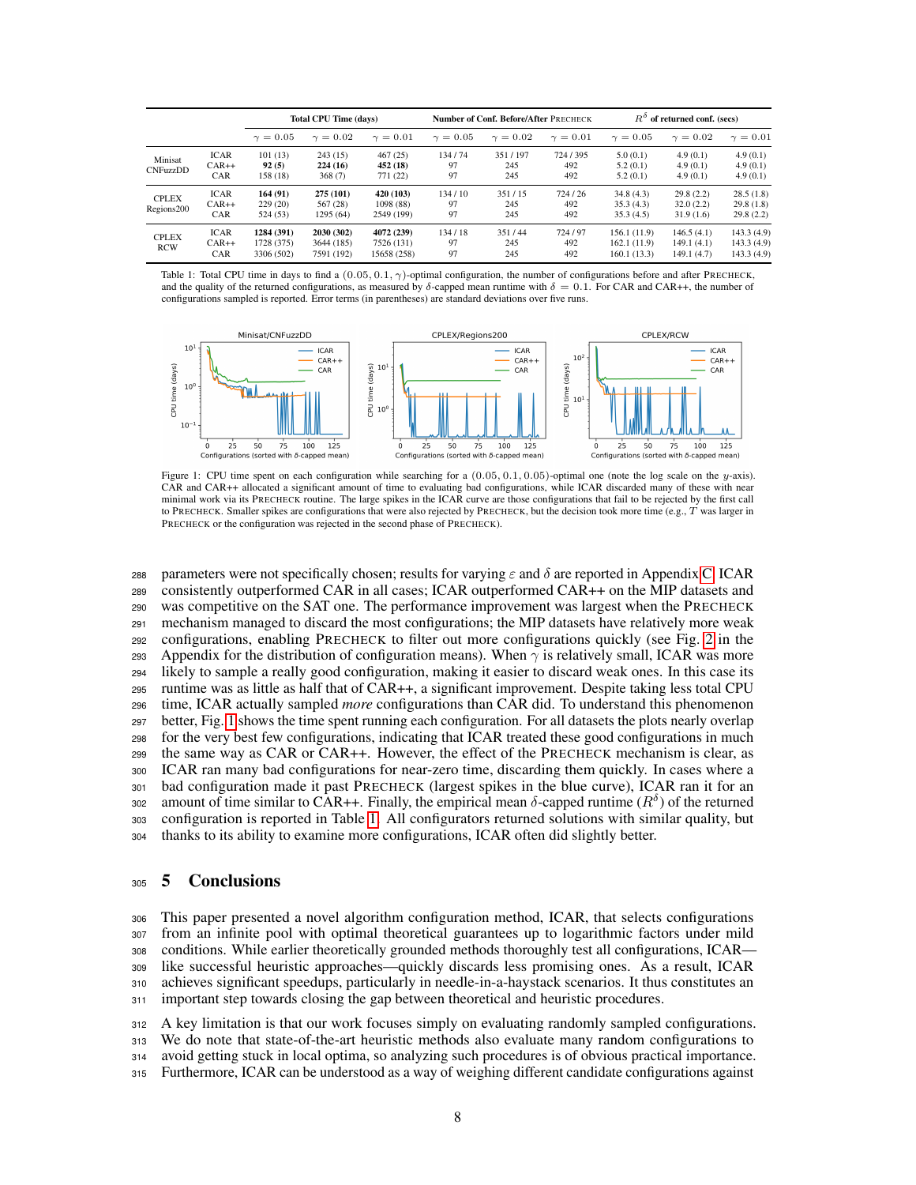<span id="page-7-0"></span>

|                            |                                      | <b>Total CPU Time (davs)</b>           |                                        |                                         |                    | Number of Conf. Before/After PRECHECK |                       | $R^o$<br>of returned conf. (secs)          |                                        |                                         |  |
|----------------------------|--------------------------------------|----------------------------------------|----------------------------------------|-----------------------------------------|--------------------|---------------------------------------|-----------------------|--------------------------------------------|----------------------------------------|-----------------------------------------|--|
|                            |                                      | $\gamma = 0.05$                        | $\gamma = 0.02$                        | $\gamma = 0.01$                         | $\gamma = 0.05$    | $\gamma = 0.02$                       | $\gamma = 0.01$       | $\gamma = 0.05$                            | $\gamma = 0.02$                        | $\gamma=0.01$                           |  |
| Minisat<br><b>CNFuzzDD</b> | <b>ICAR</b><br>$CAR++$<br><b>CAR</b> | 101(13)<br>92(5)<br>158 (18)           | 243(15)<br>224 (16)<br>368(7)          | 467(25)<br>452 (18)<br>771 (22)         | 134/74<br>97<br>97 | 351/197<br>245<br>245                 | 724/395<br>492<br>492 | 5.0(0.1)<br>5.2(0.1)<br>5.2(0.1)           | 4.9(0.1)<br>4.9(0.1)<br>4.9(0.1)       | 4.9(0.1)<br>4.9(0.1)<br>4.9(0.1)        |  |
| <b>CPLEX</b><br>Regions200 | <b>ICAR</b><br>$CAR++$<br>CAR        | 164(91)<br>229(20)<br>524 (53)         | 275 (101)<br>567 (28)<br>1295 (64)     | 420 (103)<br>1098 (88)<br>2549 (199)    | 134/10<br>97<br>97 | 351/15<br>245<br>245                  | 724/26<br>492<br>492  | 34.8(4.3)<br>35.3(4.3)<br>35.3(4.5)        | 29.8(2.2)<br>32.0(2.2)<br>31.9(1.6)    | 28.5(1.8)<br>29.8(1.8)<br>29.8(2.2)     |  |
| <b>CPLEX</b><br><b>RCW</b> | <b>ICAR</b><br>$CAR++$<br>CAR        | 1284 (391)<br>1728 (375)<br>3306 (502) | 2030 (302)<br>3644 (185)<br>7591 (192) | 4072 (239)<br>7526 (131)<br>15658 (258) | 134/18<br>97<br>97 | 351/44<br>245<br>245                  | 724/97<br>492<br>492  | 156.1 (11.9)<br>162.1(11.9)<br>160.1(13.3) | 146.5(4.1)<br>149.1(4.1)<br>149.1(4.7) | 143.3(4.9)<br>143.3(4.9)<br>143.3 (4.9) |  |

Table 1: Total CPU time in days to find a  $(0.05, 0.1, \gamma)$ -optimal configuration, the number of configurations before and after PRECHECK, and the quality of the returned configurations, as measured by  $\delta$ -capped mean runtime with  $\delta = 0.1$ . For CAR and CAR++, the number of configurations sampled is reported. Error terms (in parentheses) are standard deviations over five runs.

<span id="page-7-1"></span>

Figure 1: CPU time spent on each configuration while searching for a  $(0.05, 0.1, 0.05)$ -optimal one (note the log scale on the y-axis). CAR and CAR++ allocated a significant amount of time to evaluating bad configurations, while ICAR discarded many of these with near minimal work via its PRECHECK routine. The large spikes in the ICAR curve are those configurations that fail to be rejected by the first call to PRECHECK. Smaller spikes are configurations that were also rejected by PRECHECK, but the decision took more time (e.g., T was larger in PRECHECK or the configuration was rejected in the second phase of PRECHECK).

288 parameters were not specifically chosen; results for varying  $\varepsilon$  and  $\delta$  are reported in Appendix [C.](#page-17-0) ICAR consistently outperformed CAR in all cases; ICAR outperformed CAR++ on the MIP datasets and was competitive on the SAT one. The performance improvement was largest when the PRECHECK mechanism managed to discard the most configurations; the MIP datasets have relatively more weak configurations, enabling PRECHECK to filter out more configurations quickly (see Fig. [2](#page-17-1) in the 293 Appendix for the distribution of configuration means). When  $\gamma$  is relatively small, ICAR was more likely to sample a really good configuration, making it easier to discard weak ones. In this case its runtime was as little as half that of CAR++, a significant improvement. Despite taking less total CPU time, ICAR actually sampled *more* configurations than CAR did. To understand this phenomenon better, Fig. [1](#page-7-1) shows the time spent running each configuration. For all datasets the plots nearly overlap for the very best few configurations, indicating that ICAR treated these good configurations in much the same way as CAR or CAR++. However, the effect of the PRECHECK mechanism is clear, as ICAR ran many bad configurations for near-zero time, discarding them quickly. In cases where a bad configuration made it past PRECHECK (largest spikes in the blue curve), ICAR ran it for an as amount of time similar to CAR++. Finally, the empirical mean δ-capped runtime ( $R^{\delta}$ ) of the returned configuration is reported in Table [1.](#page-7-0) All configurators returned solutions with similar quality, but thanks to its ability to examine more configurations, ICAR often did slightly better.

#### <sup>305</sup> 5 Conclusions

 This paper presented a novel algorithm configuration method, ICAR, that selects configurations from an infinite pool with optimal theoretical guarantees up to logarithmic factors under mild conditions. While earlier theoretically grounded methods thoroughly test all configurations, ICAR— like successful heuristic approaches—quickly discards less promising ones. As a result, ICAR achieves significant speedups, particularly in needle-in-a-haystack scenarios. It thus constitutes an important step towards closing the gap between theoretical and heuristic procedures.

 A key limitation is that our work focuses simply on evaluating randomly sampled configurations. We do note that state-of-the-art heuristic methods also evaluate many random configurations to avoid getting stuck in local optima, so analyzing such procedures is of obvious practical importance. Furthermore, ICAR can be understood as a way of weighing different candidate configurations against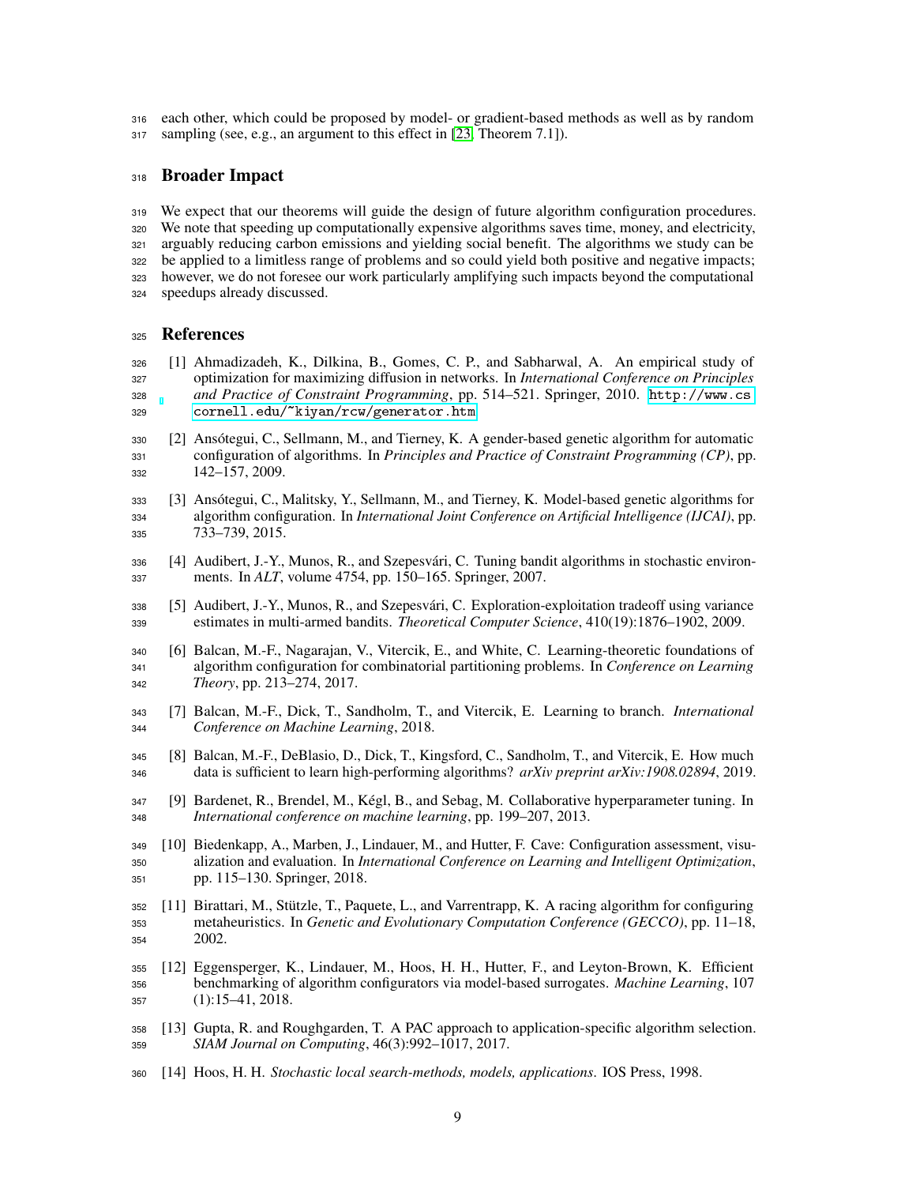each other, which could be proposed by model- or gradient-based methods as well as by random sampling (see, e.g., an argument to this effect in [\[23,](#page-9-5) Theorem 7.1]).

#### Broader Impact

 We expect that our theorems will guide the design of future algorithm configuration procedures. We note that speeding up computationally expensive algorithms saves time, money, and electricity, arguably reducing carbon emissions and yielding social benefit. The algorithms we study can be be applied to a limitless range of problems and so could yield both positive and negative impacts; however, we do not foresee our work particularly amplifying such impacts beyond the computational speedups already discussed.

#### References

- <span id="page-8-9"></span> [1] Ahmadizadeh, K., Dilkina, B., Gomes, C. P., and Sabharwal, A. An empirical study of optimization for maximizing diffusion in networks. In *International Conference on Principles and Practice of Constraint Programming*, pp. 514–521. Springer, 2010. [http://www.cs.](http://www.cs.cornell.edu/~kiyan/rcw/generator.htm) [cornell.edu/~kiyan/rcw/generator.htm](http://www.cs.cornell.edu/~kiyan/rcw/generator.htm).
- <span id="page-8-0"></span> [2] Ansótegui, C., Sellmann, M., and Tierney, K. A gender-based genetic algorithm for automatic configuration of algorithms. In *Principles and Practice of Constraint Programming (CP)*, pp. 142–157, 2009.
- <span id="page-8-1"></span> [3] Ansótegui, C., Malitsky, Y., Sellmann, M., and Tierney, K. Model-based genetic algorithms for algorithm configuration. In *International Joint Conference on Artificial Intelligence (IJCAI)*, pp. 733–739, 2015.
- <span id="page-8-8"></span> [4] Audibert, J.-Y., Munos, R., and Szepesvári, C. Tuning bandit algorithms in stochastic environ-ments. In *ALT*, volume 4754, pp. 150–165. Springer, 2007.
- <span id="page-8-7"></span> [5] Audibert, J.-Y., Munos, R., and Szepesvári, C. Exploration-exploitation tradeoff using variance estimates in multi-armed bandits. *Theoretical Computer Science*, 410(19):1876–1902, 2009.
- <span id="page-8-4"></span> [6] Balcan, M.-F., Nagarajan, V., Vitercik, E., and White, C. Learning-theoretic foundations of algorithm configuration for combinatorial partitioning problems. In *Conference on Learning Theory*, pp. 213–274, 2017.
- <span id="page-8-5"></span> [7] Balcan, M.-F., Dick, T., Sandholm, T., and Vitercik, E. Learning to branch. *International Conference on Machine Learning*, 2018.
- <span id="page-8-6"></span> [8] Balcan, M.-F., DeBlasio, D., Dick, T., Kingsford, C., Sandholm, T., and Vitercik, E. How much data is sufficient to learn high-performing algorithms? *arXiv preprint arXiv:1908.02894*, 2019.
- <span id="page-8-11"></span> [9] Bardenet, R., Brendel, M., Kégl, B., and Sebag, M. Collaborative hyperparameter tuning. In *International conference on machine learning*, pp. 199–207, 2013.
- <span id="page-8-12"></span> [10] Biedenkapp, A., Marben, J., Lindauer, M., and Hutter, F. Cave: Configuration assessment, visu- alization and evaluation. In *International Conference on Learning and Intelligent Optimization*, pp. 115–130. Springer, 2018.
- <span id="page-8-2"></span> [11] Birattari, M., Stützle, T., Paquete, L., and Varrentrapp, K. A racing algorithm for configuring metaheuristics. In *Genetic and Evolutionary Computation Conference (GECCO)*, pp. 11–18, 2002.
- <span id="page-8-10"></span> [12] Eggensperger, K., Lindauer, M., Hoos, H. H., Hutter, F., and Leyton-Brown, K. Efficient benchmarking of algorithm configurators via model-based surrogates. *Machine Learning*, 107 (1):15–41, 2018.
- <span id="page-8-3"></span> [13] Gupta, R. and Roughgarden, T. A PAC approach to application-specific algorithm selection. *SIAM Journal on Computing*, 46(3):992–1017, 2017.
- <span id="page-8-13"></span>[14] Hoos, H. H. *Stochastic local search-methods, models, applications*. IOS Press, 1998.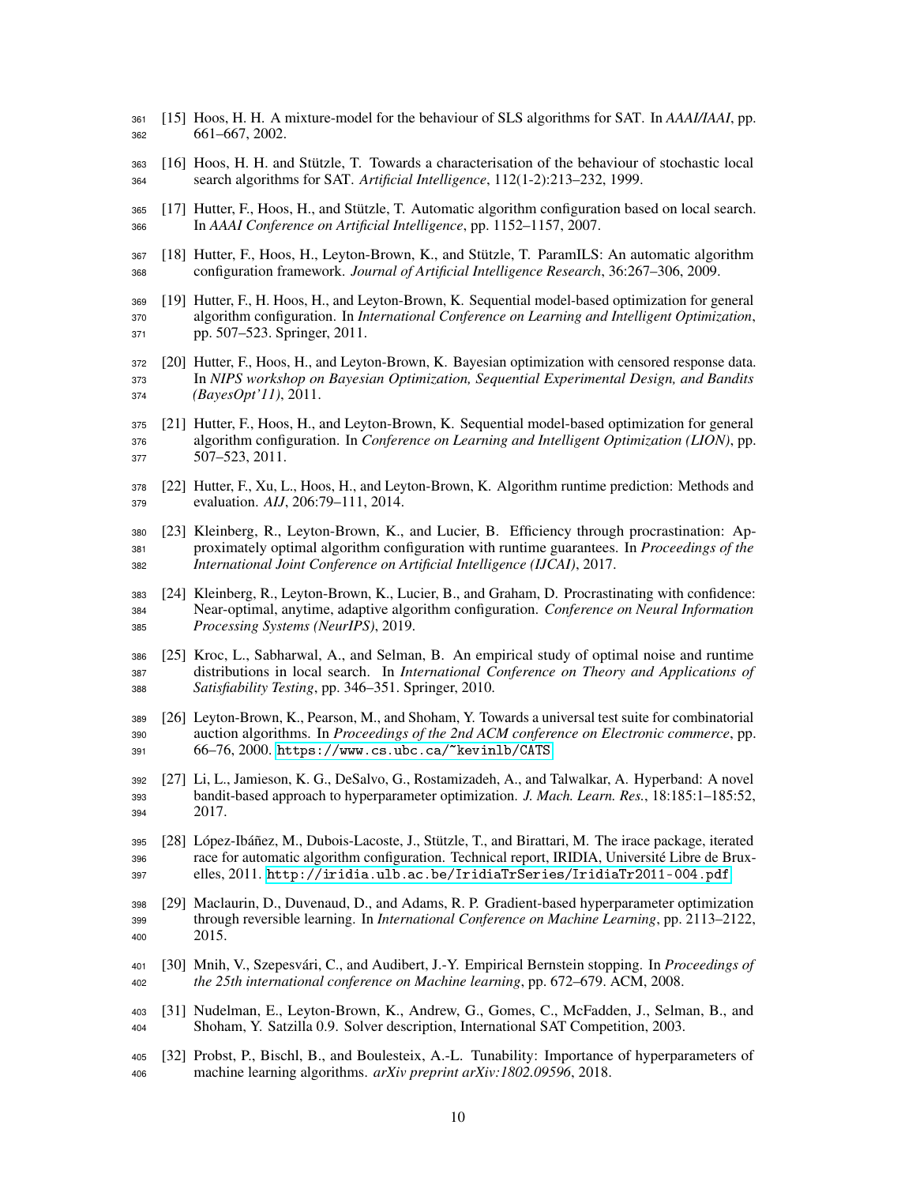- <span id="page-9-16"></span> [15] Hoos, H. H. A mixture-model for the behaviour of SLS algorithms for SAT. In *AAAI/IAAI*, pp. 661–667, 2002.
- <span id="page-9-15"></span> [16] Hoos, H. H. and Stützle, T. Towards a characterisation of the behaviour of stochastic local search algorithms for SAT. *Artificial Intelligence*, 112(1-2):213–232, 1999.
- <span id="page-9-0"></span> [17] Hutter, F., Hoos, H., and Stützle, T. Automatic algorithm configuration based on local search. In *AAAI Conference on Artificial Intelligence*, pp. 1152–1157, 2007.
- <span id="page-9-1"></span> [18] Hutter, F., Hoos, H., Leyton-Brown, K., and Stützle, T. ParamILS: An automatic algorithm configuration framework. *Journal of Artificial Intelligence Research*, 36:267–306, 2009.
- <span id="page-9-7"></span> [19] Hutter, F., H. Hoos, H., and Leyton-Brown, K. Sequential model-based optimization for general algorithm configuration. In *International Conference on Learning and Intelligent Optimization*, pp. 507–523. Springer, 2011.
- <span id="page-9-3"></span> [20] Hutter, F., Hoos, H., and Leyton-Brown, K. Bayesian optimization with censored response data. In *NIPS workshop on Bayesian Optimization, Sequential Experimental Design, and Bandits (BayesOpt'11)*, 2011.
- <span id="page-9-4"></span> [21] Hutter, F., Hoos, H., and Leyton-Brown, K. Sequential model-based optimization for general algorithm configuration. In *Conference on Learning and Intelligent Optimization (LION)*, pp. 507–523, 2011.
- <span id="page-9-12"></span> [22] Hutter, F., Xu, L., Hoos, H., and Leyton-Brown, K. Algorithm runtime prediction: Methods and evaluation. *AIJ*, 206:79–111, 2014.
- <span id="page-9-5"></span> [23] Kleinberg, R., Leyton-Brown, K., and Lucier, B. Efficiency through procrastination: Ap- proximately optimal algorithm configuration with runtime guarantees. In *Proceedings of the International Joint Conference on Artificial Intelligence (IJCAI)*, 2017.
- <span id="page-9-6"></span> [24] Kleinberg, R., Leyton-Brown, K., Lucier, B., and Graham, D. Procrastinating with confidence: Near-optimal, anytime, adaptive algorithm configuration. *Conference on Neural Information Processing Systems (NeurIPS)*, 2019.
- <span id="page-9-17"></span> [25] Kroc, L., Sabharwal, A., and Selman, B. An empirical study of optimal noise and runtime distributions in local search. In *International Conference on Theory and Applications of Satisfiability Testing*, pp. 346–351. Springer, 2010.
- <span id="page-9-11"></span> [26] Leyton-Brown, K., Pearson, M., and Shoham, Y. Towards a universal test suite for combinatorial auction algorithms. In *Proceedings of the 2nd ACM conference on Electronic commerce*, pp. 66–76, 2000. <https://www.cs.ubc.ca/~kevinlb/CATS>.
- <span id="page-9-9"></span> [27] Li, L., Jamieson, K. G., DeSalvo, G., Rostamizadeh, A., and Talwalkar, A. Hyperband: A novel bandit-based approach to hyperparameter optimization. *J. Mach. Learn. Res.*, 18:185:1–185:52, 2017.
- <span id="page-9-2"></span> [28] López-Ibáñez, M., Dubois-Lacoste, J., Stützle, T., and Birattari, M. The irace package, iterated race for automatic algorithm configuration. Technical report, IRIDIA, Université Libre de Brux-elles, 2011. <http://iridia.ulb.ac.be/IridiaTrSeries/IridiaTr2011-004.pdf>.
- <span id="page-9-8"></span> [29] Maclaurin, D., Duvenaud, D., and Adams, R. P. Gradient-based hyperparameter optimization through reversible learning. In *International Conference on Machine Learning*, pp. 2113–2122, 2015.
- <span id="page-9-10"></span> [30] Mnih, V., Szepesvári, C., and Audibert, J.-Y. Empirical Bernstein stopping. In *Proceedings of the 25th international conference on Machine learning*, pp. 672–679. ACM, 2008.
- <span id="page-9-13"></span> [31] Nudelman, E., Leyton-Brown, K., Andrew, G., Gomes, C., McFadden, J., Selman, B., and Shoham, Y. Satzilla 0.9. Solver description, International SAT Competition, 2003.
- <span id="page-9-14"></span> [32] Probst, P., Bischl, B., and Boulesteix, A.-L. Tunability: Importance of hyperparameters of machine learning algorithms. *arXiv preprint arXiv:1802.09596*, 2018.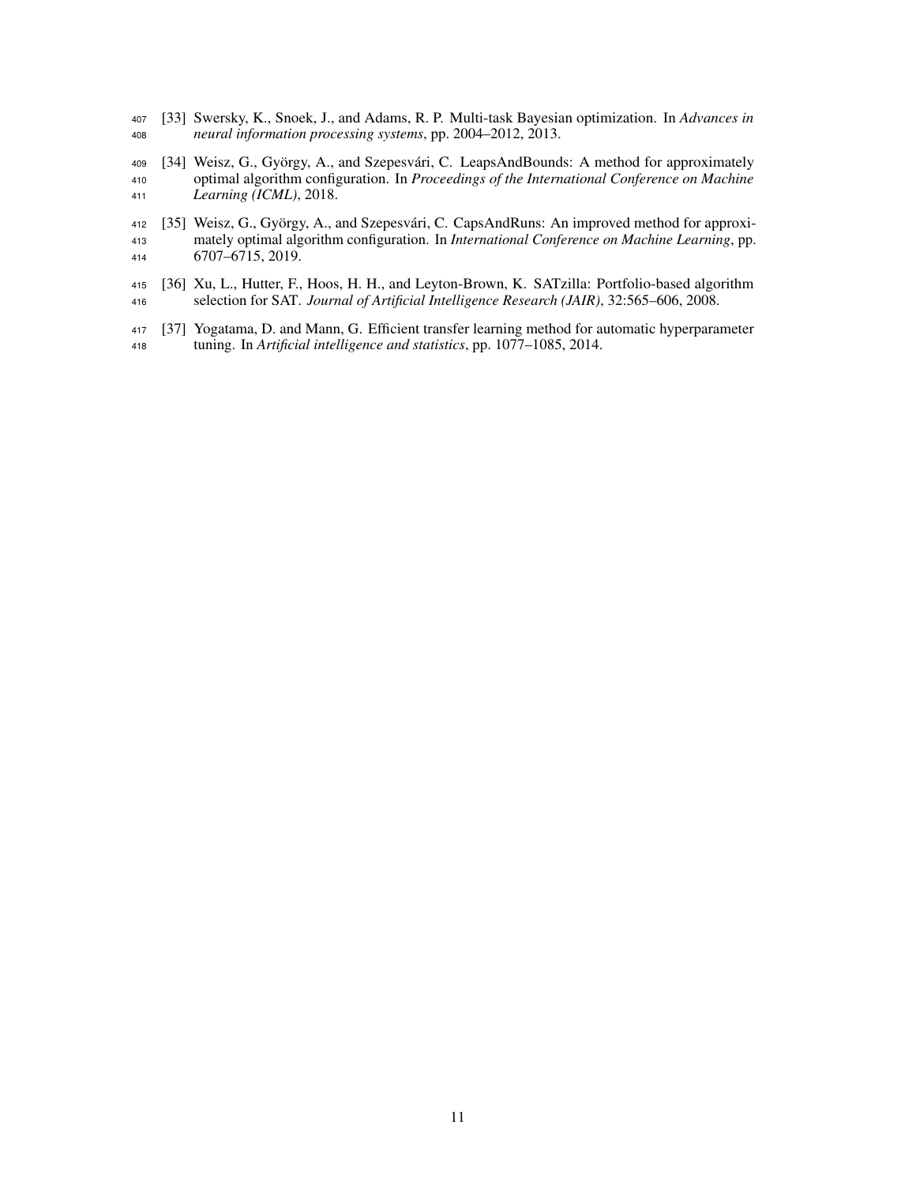- <span id="page-10-2"></span> [33] Swersky, K., Snoek, J., and Adams, R. P. Multi-task Bayesian optimization. In *Advances in neural information processing systems*, pp. 2004–2012, 2013.
- <span id="page-10-0"></span> [34] Weisz, G., György, A., and Szepesvári, C. LeapsAndBounds: A method for approximately optimal algorithm configuration. In *Proceedings of the International Conference on Machine Learning (ICML)*, 2018.
- <span id="page-10-1"></span> [35] Weisz, G., György, A., and Szepesvári, C. CapsAndRuns: An improved method for approxi- mately optimal algorithm configuration. In *International Conference on Machine Learning*, pp. 6707–6715, 2019.
- <span id="page-10-4"></span> [36] Xu, L., Hutter, F., Hoos, H. H., and Leyton-Brown, K. SATzilla: Portfolio-based algorithm selection for SAT. *Journal of Artificial Intelligence Research (JAIR)*, 32:565–606, 2008.
- <span id="page-10-3"></span> [37] Yogatama, D. and Mann, G. Efficient transfer learning method for automatic hyperparameter tuning. In *Artificial intelligence and statistics*, pp. 1077–1085, 2014.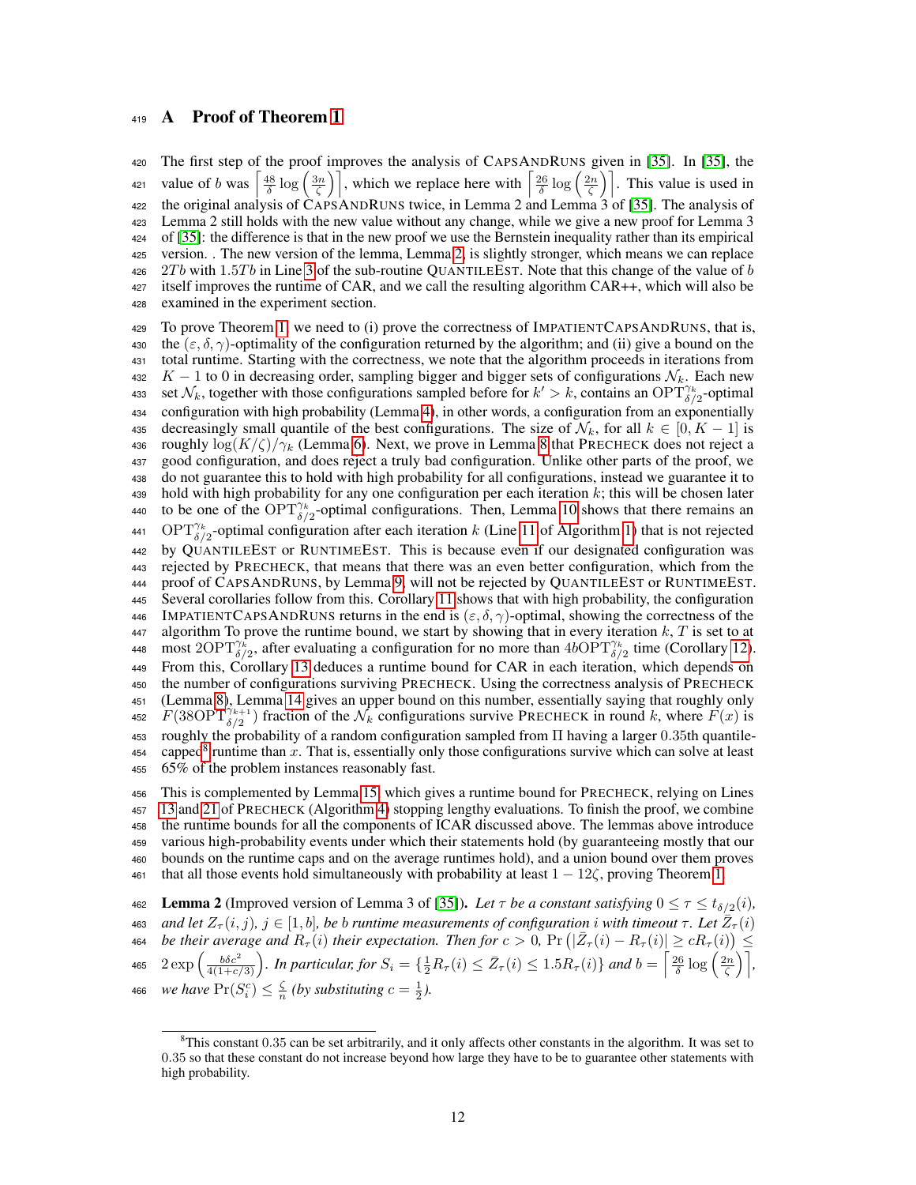#### <span id="page-11-0"></span><sup>419</sup> A Proof of Theorem [1](#page-3-3)

 The first step of the proof improves the analysis of CAPSANDRUNS given in [\[35\]](#page-10-1). In [\[35\]](#page-10-1), the 421 value of b was  $\left[\frac{48}{\delta}\log\left(\frac{3n}{\zeta}\right)\right]$ , which we replace here with  $\left[\frac{26}{\delta}\log\left(\frac{2n}{\zeta}\right)\right]$ . This value is used in 422 the original analysis of CAPSANDRUNS twice, in Lemma 2 and Lemma 3 of [\[35\]](#page-10-1). The analysis of Lemma 2 still holds with the new value without any change, while we give a new proof for Lemma 3 of [\[35\]](#page-10-1): the difference is that in the new proof we use the Bernstein inequality rather than its empirical version. . The new version of the lemma, Lemma [2,](#page-11-1) is slightly stronger, which means we can replace  $2Tb$  with 1.5Tb in Line [3](#page-4-0) of the sub-routine QUANTILEEST. Note that this change of the value of b itself improves the runtime of CAR, and we call the resulting algorithm CAR++, which will also be examined in the experiment section.

<sup>429</sup> To prove Theorem [1,](#page-3-3) we need to (i) prove the correctness of IMPATIENTCAPSANDRUNS, that is, 430 the  $(\varepsilon, \delta, \gamma)$ -optimality of the configuration returned by the algorithm; and (ii) give a bound on the <sup>431</sup> total runtime. Starting with the correctness, we note that the algorithm proceeds in iterations from 432 K – 1 to 0 in decreasing order, sampling bigger and bigger sets of configurations  $\mathcal{N}_k$ . Each new 433 set  $\mathcal{N}_k$ , together with those configurations sampled before for  $k' > k$ , contains an OPT $\widehat{\gamma}^k_{\delta/2}$ -optimal <sup>434</sup> configuration with high probability (Lemma [4\)](#page-12-0), in other words, a configuration from an exponentially 435 decreasingly small quantile of the best configurations. The size of  $\mathcal{N}_k$ , for all  $k \in [0, K - 1]$  is 436 roughly  $\log(K/\zeta)/\gamma_k$  (Lemma [6\)](#page-12-1). Next, we prove in Lemma [8](#page-12-2) that PRECHECK does not reject a <sup>437</sup> good configuration, and does reject a truly bad configuration. Unlike other parts of the proof, we <sup>438</sup> do not guarantee this to hold with high probability for all configurations, instead we guarantee it to 439 hold with high probability for any one configuration per each iteration  $k$ ; this will be chosen later 440 to be one of the OPT<sup> $\gamma_k$ </sup>-optimal configurations. Then, Lemma [10](#page-14-0) shows that there remains an 441 OPT<sup> $\gamma_k$ </sup><sub> $\delta/2$ </sub>-optimal configuration after each iteration k (Line [11](#page-4-0) of Algorithm [1\)](#page-4-0) that is not rejected <sup>442</sup> by QUANTILEEST or RUNTIMEEST. This is because even if our designated configuration was <sup>443</sup> rejected by PRECHECK, that means that there was an even better configuration, which from the <sup>444</sup> proof of CAPSANDRUNS, by Lemma [9,](#page-13-0) will not be rejected by QUANTILEEST or RUNTIMEEST. <sup>445</sup> Several corollaries follow from this. Corollary [11](#page-14-1) shows that with high probability, the configuration 446 IMPATIENTCAPSANDRUNS returns in the end is  $(\varepsilon, \delta, \gamma)$ -optimal, showing the correctness of the 447 algorithm To prove the runtime bound, we start by showing that in every iteration  $k$ ,  $T$  is set to at 448 most 2OPT $\gamma_k^*$ , after evaluating a configuration for no more than  $4b\Omega\overline{PT}^{\gamma_k}_{\delta/2}$  time (Corollary [12\)](#page-14-2). <sup>449</sup> From this, Corollary [13](#page-14-3) deduces a runtime bound for CAR in each iteration, which depends on <sup>450</sup> the number of configurations surviving PRECHECK. Using the correctness analysis of PRECHECK <sup>451</sup> (Lemma [8\)](#page-12-2), Lemma [14](#page-15-0) gives an upper bound on this number, essentially saying that roughly only 452  $F(38\text{OPT}_{\delta/2}^{\gamma_{k+1}})$  fraction of the  $\mathcal{N}_k$  configurations survive PRECHECK in round k, where  $F(x)$  is <sup>453</sup> roughly the probability of a random configuration sampled from Π having a larger 0.35th quantile-454 capped<sup>[8](#page-11-2)</sup> runtime than x. That is, essentially only those configurations survive which can solve at least <sup>455</sup> 65% of the problem instances reasonably fast.

 This is complemented by Lemma [15,](#page-15-1) which gives a runtime bound for PRECHECK, relying on Lines [13](#page-4-0) and [21](#page-4-0) of PRECHECK (Algorithm [4\)](#page-4-0) stopping lengthy evaluations. To finish the proof, we combine the runtime bounds for all the components of ICAR discussed above. The lemmas above introduce various high-probability events under which their statements hold (by guaranteeing mostly that our bounds on the runtime caps and on the average runtimes hold), and a union bound over them proves 461 that all those events hold simultaneously with probability at least  $1 - 12\zeta$ , proving Theorem [1.](#page-3-3)

<span id="page-11-1"></span>462 Lemma 2 (Improved version of Lemma 3 of [\[35\]](#page-10-1)). Let  $\tau$  be a constant satisfying  $0 \le \tau \le t_{\delta/2}(i)$ , *ass* and let  $Z_{\tau}(i,j)$ ,  $j \in [1,b]$ , be b runtime measurements of configuration  $i$  with timeout  $\tau$ . Let  $\overline{Z}_{\tau}(i)$ **464** be their average and  $R_\tau(i)$  their expectation. Then for  $c > 0$ ,  $\Pr(|\bar{Z}_\tau(i) - R_\tau(i)| \ge cR_\tau(i)) \le$ 465  $2 \exp \left( \frac{b \delta c^2}{4(1+c/3)} \right)$ . In particular, for  $S_i = \{\frac{1}{2}R_{\tau}(i) \leq \bar{Z}_{\tau}(i) \leq 1.5R_{\tau}(i)\}$  and  $b = \left\lceil \frac{26}{\delta} \log \left( \frac{2n}{\zeta} \right) \right\rceil$ , 466 *we have*  $Pr(S_i^c) \leq \frac{\zeta}{n}$  (by substituting  $c = \frac{1}{2}$ ).

<span id="page-11-2"></span><sup>8</sup>This constant 0.35 can be set arbitrarily, and it only affects other constants in the algorithm. It was set to 0.35 so that these constant do not increase beyond how large they have to be to guarantee other statements with high probability.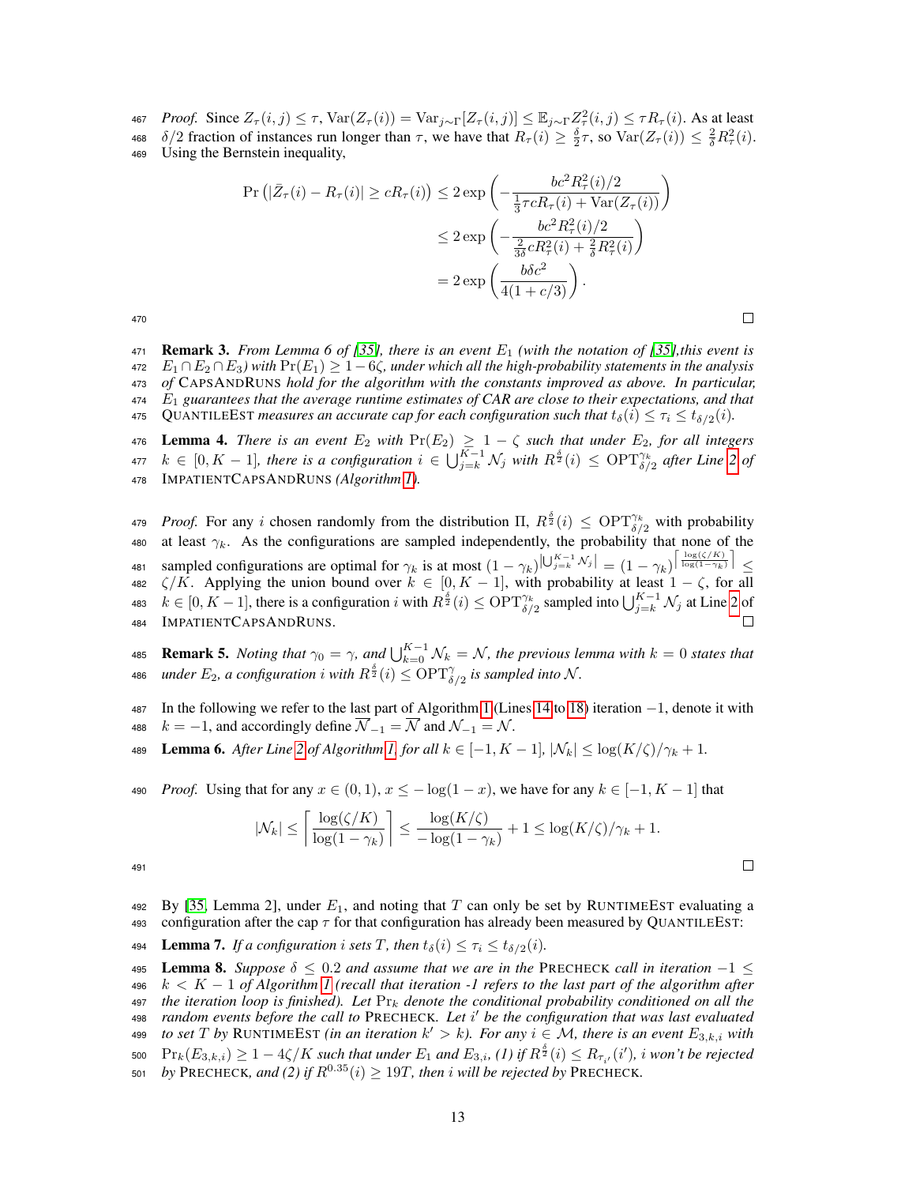- 467 *Proof.* Since  $Z_{\tau}(i, j) \leq \tau$ ,  $\text{Var}(Z_{\tau}(i)) = \text{Var}_{j \sim \Gamma}[Z_{\tau}(i, j)] \leq \mathbb{E}_{j \sim \Gamma} Z_{\tau}^2(i, j) \leq \tau R_{\tau}(i)$ . As at least
- 468  $\delta/2$  fraction of instances run longer than  $\tau$ , we have that  $R_{\tau}(i) \geq \frac{\delta}{2}\tau$ , so  $\text{Var}(Z_{\tau}(i)) \leq \frac{2}{\delta}R_{\tau}^2(i)$ .
- <sup>469</sup> Using the Bernstein inequality,

$$
\Pr\left(|\bar{Z}_{\tau}(i) - R_{\tau}(i)| \ge cR_{\tau}(i)\right) \le 2 \exp\left(-\frac{bc^2 R_{\tau}^2(i)/2}{\frac{1}{3}\tau cR_{\tau}(i) + \text{Var}(Z_{\tau}(i))}\right)
$$
  

$$
\le 2 \exp\left(-\frac{bc^2 R_{\tau}^2(i)/2}{\frac{2}{3\delta}cR_{\tau}^2(i) + \frac{2}{\delta}R_{\tau}^2(i)}\right)
$$
  

$$
= 2 \exp\left(\frac{b\delta c^2}{4(1+c/3)}\right).
$$

 $\Box$ 

470

<span id="page-12-4"></span>**Remark 3.** From Lemma 6 of [\[35\]](#page-10-1), there is an event  $E_1$  (with the notation of [35], this event is E<sup>1</sup> ∩E<sup>2</sup> ∩E3*) with* Pr(E1) ≥ 1−6ζ*, under which all the high-probability statements in the analysis of* CAPSANDRUNS *hold for the algorithm with the constants improved as above. In particular,* E<sup>1</sup> *guarantees that the average runtime estimates of CAR are close to their expectations, and that* 475 QUANTILEEST *measures an accurate cap for each configuration such that*  $t_{\delta}(i) \leq \tau_i \leq t_{\delta/2}(i)$ *.* 

<span id="page-12-0"></span>476 **Lemma 4.** *There is an event*  $E_2$  *with*  $Pr(E_2) \geq 1 - \zeta$  *such that under*  $E_2$ *, for all integers*  $k \in [0, K - 1]$ , there is a configuration  $i \in \bigcup_{j=k}^{K-1} \mathcal{N}_j$  with  $R^{\frac{\delta}{2}}(i) \leq \text{OPT}_{\delta/2}^{\gamma_k}$  after Line [2](#page-4-0) of <sup>478</sup> IMPATIENTCAPSANDRUNS *(Algorithm [1\)](#page-4-0).*

*AT9 Proof.* For any i chosen randomly from the distribution  $\Pi$ ,  $R^{\frac{\delta}{2}}(i) \leq \text{OPT}_{\delta/2}^{\gamma_k}$  with probability 480 at least  $\gamma_k$ . As the configurations are sampled independently, the probability that none of the 481 sampled configurations are optimal for  $\gamma_k$  is at most  $(1 - \gamma_k)|U_{j=k}^{K-1} \mathcal{N}_j| = (1 - \gamma_k)|\frac{\log(\zeta/K)}{\log(1 - \gamma_k)}| \leq$ 482  $\zeta/K$ . Applying the union bound over  $k \in [0, K - 1]$ , with probability at least  $1 - \zeta$ , for all 483  $k \in [0, K-1]$ , there is a configuration i with  $R^{\frac{\delta}{2}}(i) \le \text{OPT}^{\gamma_k}_{\delta/2}$  sampled into  $\bigcup_{j=k}^{K-1} \mathcal{N}_j$  at Line [2](#page-4-0) of <sup>484</sup> IMPATIENTCAPSANDRUNS. П

<span id="page-12-3"></span>**Remark 5.** *Noting that*  $\gamma_0 = \gamma$ *, and*  $\bigcup_{k=0}^{K-1} \mathcal{N}_k = \mathcal{N}$ *, the previous lemma with*  $k = 0$  *states that* 486 *under*  $E_2$ , a configuration i with  $R^{\frac{\delta}{2}}(i) \le \text{OPT}^\gamma_{\delta/2}$  is sampled into N.

<sup>487</sup> In the following we refer to the last part of Algorithm [1](#page-4-0) (Lines [14](#page-4-0) to [18\)](#page-4-0) iteration −1, denote it with 488  $k = -1$ , and accordingly define  $\overline{\mathcal{N}}_{-1} = \overline{\mathcal{N}}$  and  $\mathcal{N}_{-1} = \mathcal{N}$ .

<span id="page-12-1"></span>489 Lemma 6. *After Line* [2](#page-4-0) *of Algorithm [1,](#page-4-0) for all*  $k \in [-1, K - 1]$ ,  $|\mathcal{N}_k| \leq \log(K/\zeta)/\gamma_k + 1$ .

490 *Proof.* Using that for any  $x \in (0,1)$ ,  $x \le -\log(1-x)$ , we have for any  $k \in [-1, K - 1]$  that

$$
|\mathcal{N}_k| \le \left\lceil \frac{\log(\zeta/K)}{\log(1-\gamma_k)} \right\rceil \le \frac{\log(K/\zeta)}{-\log(1-\gamma_k)} + 1 \le \log(K/\zeta)/\gamma_k + 1.
$$

491

492 By [35, Lemma 2], under 
$$
E_1
$$
, and noting that T can only be set by RUNTIMEEST evaluating a configuration after the cap  $\tau$  for that configuration has already been measured by QUANTILEEST:

494 **Lemma 7.** *If a configuration i sets T*, then  $t_{\delta}(i) \leq \tau_i \leq t_{\delta/2}(i)$ .

<span id="page-12-2"></span>495 **Lemma 8.** Suppose  $\delta \leq 0.2$  and assume that we are in the PRECHECK call in iteration  $-1 \leq$ <sup>496</sup> k < K − 1 *of Algorithm [1](#page-4-0) (recall that iteration -1 refers to the last part of the algorithm after*  $497$  *the iteration loop is finished). Let*  $Pr_k$  *denote the conditional probability conditioned on all the random events before the call to* PRECHECK*. Let* i 0 <sup>498</sup> *be the configuration that was last evaluated to set* T *by* RUNTIMEEST *(in an iteration*  $k' > k$ *). For any*  $i \in M$ *, there is an event*  $E_{3,k,i}$  *with*  $\Pr_k(E_{3,k,i}) \geq 1-4\zeta/K$  such that under  $E_1$  and  $E_{3,i},$  (1) if  $R^{\frac{\delta}{2}}(i) \leq R_{\tau_{i'}}(i'),$  i won't be rejected  $b$ <sup>y</sup> PRECHECK*, and* (2) if  $R^{0.35}(i) > 19T$ , then i will be rejected by PRECHECK.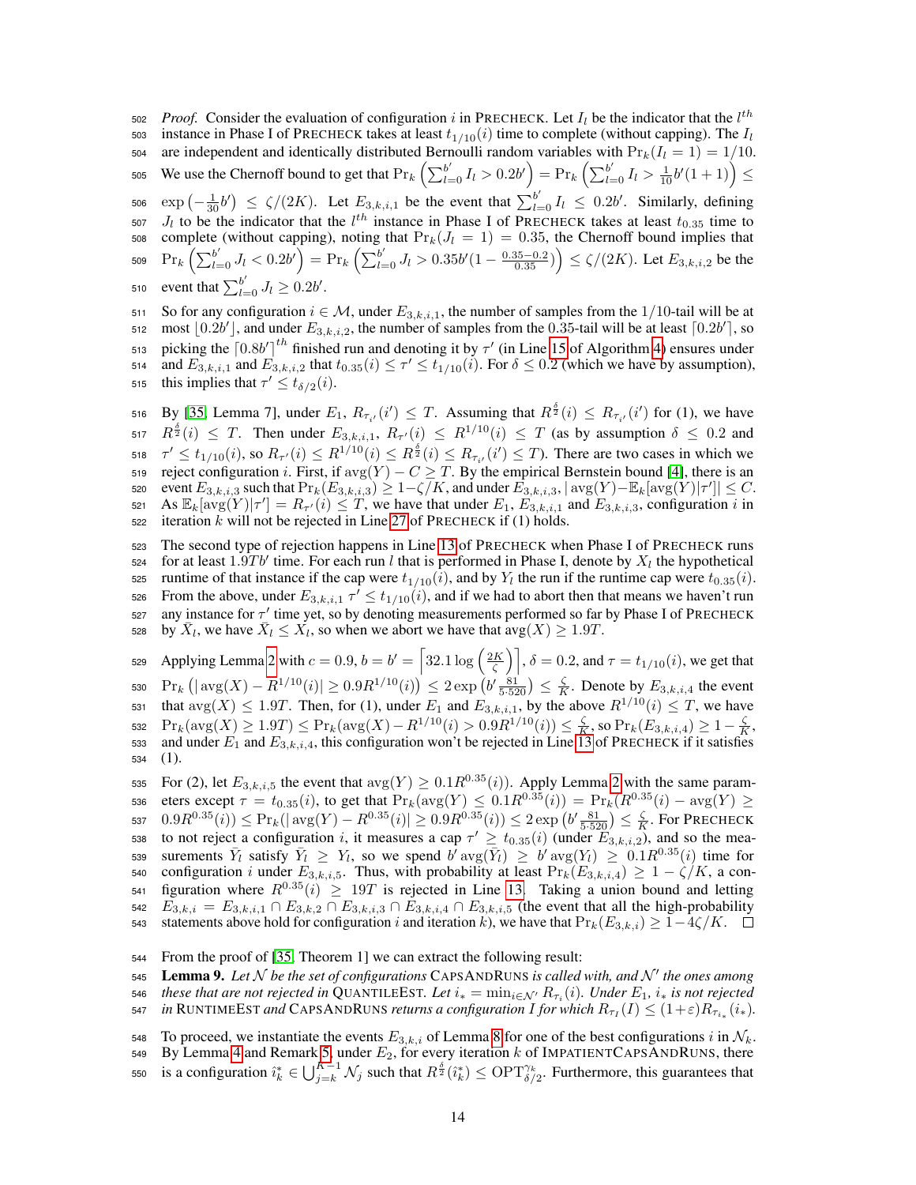502 *Proof.* Consider the evaluation of configuration i in PRECHECK. Let  $I_l$  be the indicator that the  $l^{th}$ 503 instance in Phase I of PRECHECK takes at least  $t_{1/10}(i)$  time to complete (without capping). The  $I_l$ 504 are independent and identically distributed Bernoulli random variables with  $Pr_k(I_l = 1) = 1/10$ . 505 We use the Chernoff bound to get that  $\Pr_k\left(\sum_{l=0}^{b'} I_l > 0.2b'\right) = \Pr_k\left(\sum_{l=0}^{b'} I_l > \frac{1}{10}b'(1+1)\right) \leq$ 506  $\exp\left(-\frac{1}{30}b'\right) \le \zeta/(2K)$ . Let  $E_{3,k,i,1}$  be the event that  $\sum_{l=0}^{b'} I_l \le 0.2b'$ . Similarly, defining 507  $J_l$  to be the indicator that the  $l^{th}$  instance in Phase I of PRECHECK takes at least  $t_{0.35}$  time to 508 complete (without capping), noting that  $Pr_k(J_l = 1) = 0.35$ , the Chernoff bound implies that 509  $\Pr_k\left(\sum_{l=0}^{b'}J_l < 0.2b'\right) = \Pr_k\left(\sum_{l=0}^{b'}J_l > 0.35b'(1-\frac{0.35-0.2}{0.35})\right) \le \zeta/(2K)$ . Let  $E_{3,k,i,2}$  be the 510 event that  $\sum_{l=0}^{b'} J_l \geq 0.2b'$ .

511 So for any configuration  $i \in \mathcal{M}$ , under  $E_{3,k,i,1}$ , the number of samples from the 1/10-tail will be at 512 most  $[0.2b']$ , and under  $E_{3,k,i,2}$ , the number of samples from the 0.35-tail will be at least  $[0.2b']$ , so 513 picking the  $\left[0.8b'\right]^{th}$  finished run and denoting it by  $\tau'$  (in Line [15](#page-4-0) of Algorithm [4\)](#page-4-0) ensures under and  $E_{3,k,i,1}$  and  $E_{3,k,i,2}$  that  $t_{0.35}(i) \le \tau' \le t_{1/10}(i)$ . For  $\delta \le 0.2$  (which we have by assumption), 515 this implies that  $\tau' \le t_{\delta/2}(i)$ .

516 By [\[35,](#page-10-1) Lemma 7], under  $E_1, R_{\tau_{i'}}(i') \leq T$ . Assuming that  $R^{\frac{\delta}{2}}(i) \leq R_{\tau_{i'}}(i')$  for (1), we have 517  $R^{\frac{\delta}{2}}(i) \leq T$ . Then under  $E_{3,k,i,1}$ ,  $R_{\tau'}(i) \leq R^{1/10}(i) \leq T$  (as by assumption  $\delta \leq 0.2$  and 518  $\tau' \leq t_{1/10}(i)$ , so  $R_{\tau'}(i) \leq R^{1/10}(i) \leq R^{\frac{\delta}{2}}(i) \leq R_{\tau_{i'}}(i') \leq T$ ). There are two cases in which we 519 reject configuration i. First, if  $\text{avg}(Y) - C \geq T$ . By the empirical Bernstein bound [\[4\]](#page-8-8), there is an s20 event  $E_{3,k,i,3}$  such that  $\Pr_k(E_{3,k,i,3}) \geq 1 - \zeta/K$ , and under  $E_{3,k,i,3}$ ,  $|\arg(Y) - \mathbb{E}_k[\arg(Y)|\tau']| \leq C$ . 521 As  $\mathbb{E}_k[\text{avg}(Y)|\tau'] = R_{\tau'}(i) \leq T$ , we have that under  $E_1, E_{3,k,i,1}$  and  $E_{3,k,i,3}$ , configuration i in 522 iteration  $k$  will not be rejected in Line [27](#page-4-0) of PRECHECK if (1) holds.

<sup>523</sup> The second type of rejection happens in Line [13](#page-4-0) of PRECHECK when Phase I of PRECHECK runs 524 for at least  $1.9Tb'$  time. For each run l that is performed in Phase I, denote by  $X_l$  the hypothetical ses runtime of that instance if the cap were  $t_{1/10}(i)$ , and by  $Y_l$  the run if the runtime cap were  $t_{0.35}(i)$ . From the above, under  $E_{3,k,i,1} \tau' \leq t_{1/10}(i)$ , and if we had to abort then that means we haven't run  $527$  any instance for  $τ'$  time yet, so by denoting measurements performed so far by Phase I of PRECHECK 528 by  $\bar{X}_l$ , we have  $\bar{X}_l \leq \bar{X}_l$ , so when we abort we have that  $\log(X) \geq 1.9T$ .

529 Applying Lemma [2](#page-11-1) with  $c = 0.9$ ,  $b = b' = \left[32.1 \log \left(\frac{2K}{\zeta}\right)\right]$ ,  $\delta = 0.2$ , and  $\tau = t_{1/10}(i)$ , we get that 530  $|\Pr_k (|\arg(X) - R^{1/10}(i)| \ge 0.9R^{1/10}(i)) \le 2\exp\left(b' \frac{81}{5 \cdot 520}\right) \le \frac{\zeta}{K}$ . Denote by  $E_{3,k,i,4}$  the event that  $\arg(X) \leq 1.9T$ . Then, for (1), under  $E_1$  and  $E_{3,k,i,1}$ , by the above  $R^{1/10}(i) \leq T$ , we have 532  $Pr_k(\text{avg}(X) \ge 1.9T)$  ≤  $Pr_k(\text{avg}(X) - R^{1/10}(i) > 0.9R^{1/10}(i))$  ≤  $\frac{\zeta}{K}$ , so  $Pr_k(E_{3,k,i,4}) \ge 1 - \frac{\zeta}{K}$ , 533 and under  $E_1$  and  $E_{3,k,i,4}$ , this configuration won't be rejected in Line [13](#page-4-0) of PRECHECK if it satisfies  $534$   $(1).$ 

535 For (2), let  $E_{3,k,i,5}$  the event that  $\arg(Y) \ge 0.1R^{0.35}(i)$ . Apply Lemma [2](#page-11-1) with the same param-536 eters except  $\tau = t_{0.35}(i)$ , to get that  $\Pr_k(\text{avg}(Y) \le 0.1R^{0.35}(i)) = \Pr_k(R^{0.35}(i) - \text{avg}(Y) \ge 0.1R^{0.35}(i)$ 537  $0.9R^{0.35}(i)) \leq \Pr_k(|\arg(Y) - R^{0.35}(i)| \geq 0.9R^{0.35}(i)) \leq 2\exp\left(b'\frac{81}{5\cdot 520}\right) \leq \frac{\zeta}{K}$ . For Precheck to not reject a configuration i, it measures a cap  $\tau' \ge t_{0.35}(i)$  (under  $\widetilde{E}_{3,k,i,2}$ ), and so the mea-539 surements  $\bar{Y}_l$  satisfy  $\bar{Y}_l \ge Y_l$ , so we spend  $b^l \arg(\bar{Y}_l) \ge b^l \arg(Y_l) \ge 0.1 R^{0.35}(i)$  time for 540 configuration i under  $E_{3,k,i,5}$ . Thus, with probability at least  $Pr_k(E_{3,k,i,4}^{\vee}) \geq 1 - \zeta/K$ , a con- $\epsilon_{541}$  figuration where  $R^{0.35}(i) \geq 19T$  is rejected in Line [13.](#page-4-0) Taking a union bound and letting 542  $E_{3,k,i} = E_{3,k,i,1} \cap E_{3,k,2} \cap E_{3,k,i,3} \cap E_{3,k,i,4} \cap E_{3,k,i,5}$  (the event that all the high-probability 543 statements above hold for configuration i and iteration k), we have that  $Pr_k(E_{3,k,i}) \geq 1-4\zeta/K$ .  $\Box$ 

<sup>544</sup> From the proof of [\[35,](#page-10-1) Theorem 1] we can extract the following result:

<span id="page-13-0"></span>545 **Lemma 9.** Let  $N$  be the set of configurations CAPSANDRUNS is called with, and  $N'$  the ones among

- $t$ <sup>46</sup> *these that are not rejected in* QUANTILEEST. Let  $i_* = \min_{i \in \mathcal{N}'} R_{\tau_i}(i)$ . Under  $E_1$ ,  $i_*$  is not rejected
- *in* RUNTIMEEST and CAPSANDRUNS *returns a configuration I for which*  $R_{\tau_I}(I) \leq (1+\varepsilon)R_{\tau_{i_*}}(i_*)$ *.*
- 548 To proceed, we instantiate the events  $E_{3,k,i}$  of Lemma [8](#page-12-2) for one of the best configurations i in  $\mathcal{N}_k$ .
- 549 By Lemma [4](#page-12-0) and Remark [5,](#page-12-3) under  $E_2$ , for every iteration k of IMPATIENTCAPSANDRUNS, there
- 550 is a configuration  $\hat{i}_k^* \in \bigcup_{j=k}^{K-1} \mathcal{N}_j$  such that  $R^{\frac{\delta}{2}}(\hat{i}_k^*) \le \text{OPT}_{\delta/2}^{\gamma_k}$ . Furthermore, this guarantees that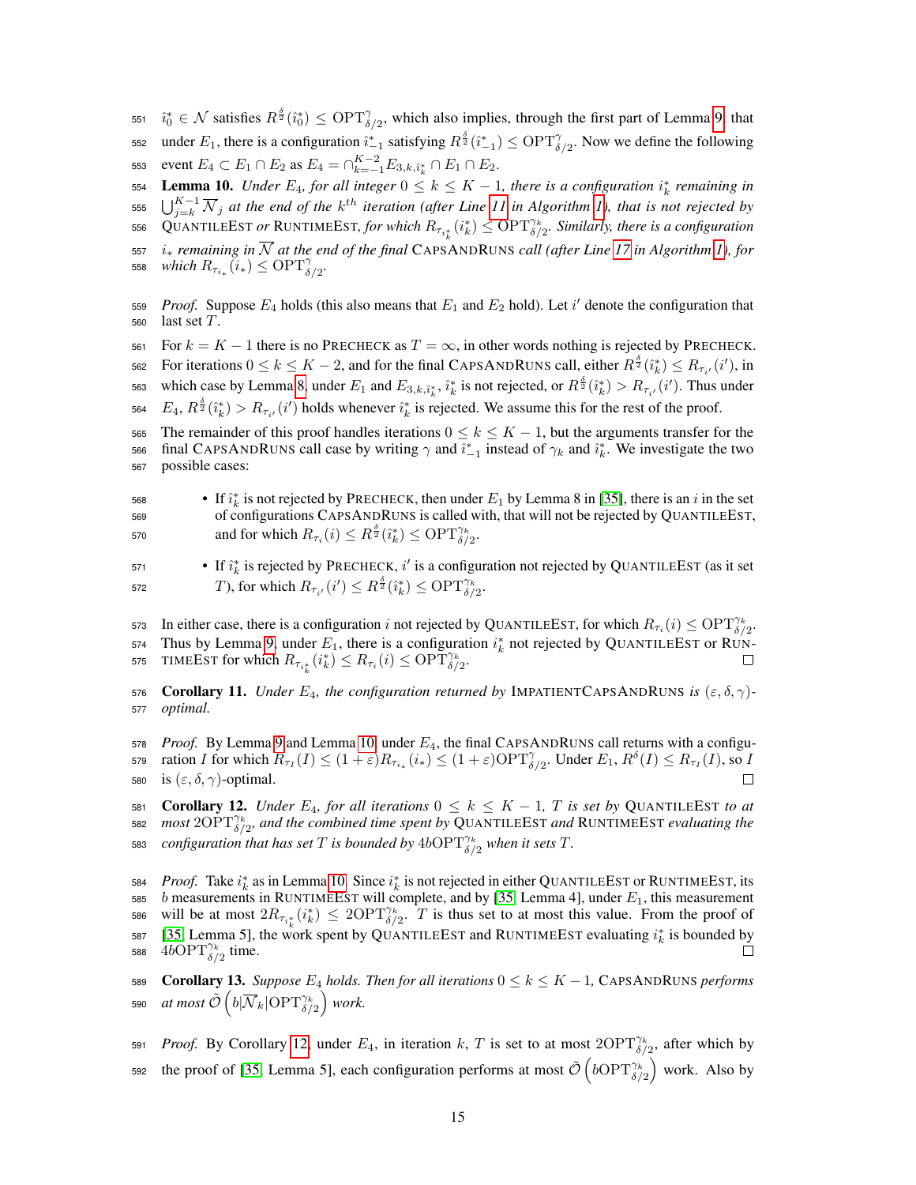551  $\hat{i}_0^* \in \mathcal{N}$  satisfies  $R^{\frac{\delta}{2}}(\hat{i}_0^*) \le \text{OPT}^{\gamma}_{\delta/2}$ , which also implies, through the first part of Lemma [9,](#page-13-0) that 552 under  $E_1$ , there is a configuration  $\hat{i}_{-1}^*$  satisfying  $R^{\frac{\delta}{2}}(\hat{i}_{-1}^*) \le \text{OPT}^\gamma_{\delta/2}$ . Now we define the following 553 event  $E_4 \subset E_1 \cap E_2$  as  $E_4 = \cap_{k=-1}^{K-2} E_{3,k,\hat{i}_k^*} \cap E_1 \cap E_2$ .

<span id="page-14-0"></span>**Lemma 10.** *Under*  $E_4$ , for all integer  $0 \le k \le K - 1$ , there is a configuration  $i_k^*$  remaining in

555  $\bigcup_{j=k}^{K-1} \overline{N}_j$  at the end of the k<sup>th</sup> iteration (after Line [11](#page-4-0) in Algorithm [1\)](#page-4-0), that is not rejected by

556 QUANTILEEST *or* RUNTIMEEST, for which  $R_{\tau_{i_k^*}}(i_k^*) \le \text{OPT}_{\delta/2}^{\gamma_k}$ . Similarly, there is a configuration

- <sup>557</sup> i<sup>∗</sup> *remaining in* N *at the end of the final* CAPSANDRUNS *call (after Line [17](#page-4-0) in Algorithm [1\)](#page-4-0), for* 558 *which*  $R_{\tau_{i_*}}(i_*) \leq \text{OPT}^{\gamma}_{\delta/2}$ .
- 559 *Proof.* Suppose  $E_4$  holds (this also means that  $E_1$  and  $E_2$  hold). Let i' denote the configuration that 560 last set  $T$ .
- 561 For  $k = K 1$  there is no PRECHECK as  $T = \infty$ , in other words nothing is rejected by PRECHECK.

562 For iterations  $0 \le k \le K - 2$ , and for the final CAPSANDRUNS call, either  $R^{\frac{\delta}{2}}(\hat{i}_k^*) \le R_{\tau_{i'}}(i')$ , in

563 which case by Lemma [8,](#page-12-2) under  $E_1$  and  $E_{3,k,\hat{i}_k^*}, \hat{i}_k^*$  is not rejected, or  $R^{\frac{\delta}{2}}(\hat{i}_k^*) > R_{\tau_{i'}}(i')$ . Thus under

564  $E_4, R^{\frac{\delta}{2}}(\hat{i}_k^*) > R_{\tau_{i'}}(i')$  holds whenever  $\hat{i}_k^*$  is rejected. We assume this for the rest of the proof.

565 The remainder of this proof handles iterations  $0 \le k \le K - 1$ , but the arguments transfer for the 566 final CAPSANDRUNS call case by writing  $\gamma$  and  $\hat{i}_{-1}^*$  instead of  $\gamma_k$  and  $\hat{i}_k^*$ . We investigate the two <sup>567</sup> possible cases:

- 568 If  $\hat{i}_k^*$  is not rejected by PRECHECK, then under  $E_1$  by Lemma 8 in [\[35\]](#page-10-1), there is an *i* in the set <sup>569</sup> of configurations CAPSANDRUNS is called with, that will not be rejected by QUANTILEEST, 570 and for which  $R_{\tau_i}(i) \leq R^{\frac{\delta}{2}}(i_k^*) \leq \text{OPT}_{\delta/2}^{\gamma_k}$ .
- If  $\hat{i}_k^*$  is rejected by PRECHECK,  $i'$  is a configuration not rejected by QUANTILEEST (as it set 572  $T$ ), for which  $R_{\tau_{i'}}(i') \leq R^{\frac{\delta}{2}}(\hat{i}_k^*) \leq \text{OPT}_{\delta/2}^{\gamma_k}$ .

573 In either case, there is a configuration i not rejected by QUANTILEEST, for which  $R_{\tau_i}(i) \le \text{OPT}_{\delta/2}^{\gamma_k}$ . 574 Thus by Lemma [9,](#page-13-0) under  $E_1$ , there is a configuration  $i_k^*$  not rejected by QUANTILEEST or RUN-575 TIMEEST for which  $R_{\tau_{i_k^*}}(i_k^*) \leq R_{\tau_i}(i) \leq \text{OPT}_{\delta/2}^{\gamma_k}$ .

<span id="page-14-1"></span>576 **Corollary 11.** *Under*  $E_4$ *, the configuration returned by* IMPATIENTCAPSANDRUNS *is*  $(\varepsilon, \delta, \gamma)$ -<sup>577</sup> *optimal.*

 $578$  *Proof.* By Lemma [9](#page-13-0) and Lemma [10,](#page-14-0) under  $E_4$ , the final CAPSANDRUNS call returns with a configu-579 ration I for which  $R_{\tau_I}(I) \leq (1+\varepsilon)R_{\tau_{i_*}}(i_*) \leq (1+\varepsilon){\rm OPT}_{\delta/2}^{\gamma}$ . Under  $E_1, R^{\delta}(I) \leq R_{\tau_I}(I)$ , so I 580 is  $(\varepsilon, \delta, \gamma)$ -optimal. П

<span id="page-14-2"></span>581 **Corollary 12.** *Under*  $E_4$ *, for all iterations*  $0 \le k \le K - 1$ *, T is set by* QUANTILEEST *to at* 582 *most*  $2OPT^{\gamma_k}_{\delta/2}$ , and the combined time spent by QUANTILEEST and RUNTIMEEST evaluating the 583 *configuration that has set* T is bounded by  $4b$ OPT $^{\gamma_k}_{\delta/2}$  when it sets T.

584 *Proof.* Take  $i_k^*$  as in Lemma [10.](#page-14-0) Since  $i_k^*$  is not rejected in either QUANTILEEST or RUNTIMEEST, its 585 b measurements in RUNTIMEEST will complete, and by [\[35,](#page-10-1) Lemma 4], under  $E_1$ , this measurement 586 will be at most  $2R_{\tau_{i_k^*}}(i_k^*) \leq 2\text{OPT}_{\delta/2}^{\gamma_k}$ . T is thus set to at most this value. From the proof of 587 [\[35,](#page-10-1) Lemma 5], the work spent by QUANTILEEST and RUNTIMEEST evaluating  $i_k^*$  is bounded by 588  $4bOPT_{\delta/2}^{\gamma_k}$  time.  $\Box$ 

<span id="page-14-3"></span>589 **Corollary 13.** Suppose  $E_4$  holds. Then for all iterations  $0 \le k \le K - 1$ , CAPSANDRUNS performs 590 *at most*  $\tilde{\mathcal{O}}\left(b|\overline{\mathcal{N}}_k|\mathrm{OPT}^{\gamma_k}_{\delta/2}\right)$  *work.* 

591 *Proof.* By Corollary [12,](#page-14-2) under  $E_4$ , in iteration k, T is set to at most  $2OPT_{\delta/2}^{\gamma_k}$ , after which by 592 the proof of [\[35,](#page-10-1) Lemma 5], each configuration performs at most  $\tilde{\mathcal{O}}\left(b\text{OPT}_{\delta/2}^{\gamma_k}\right)$  work. Also by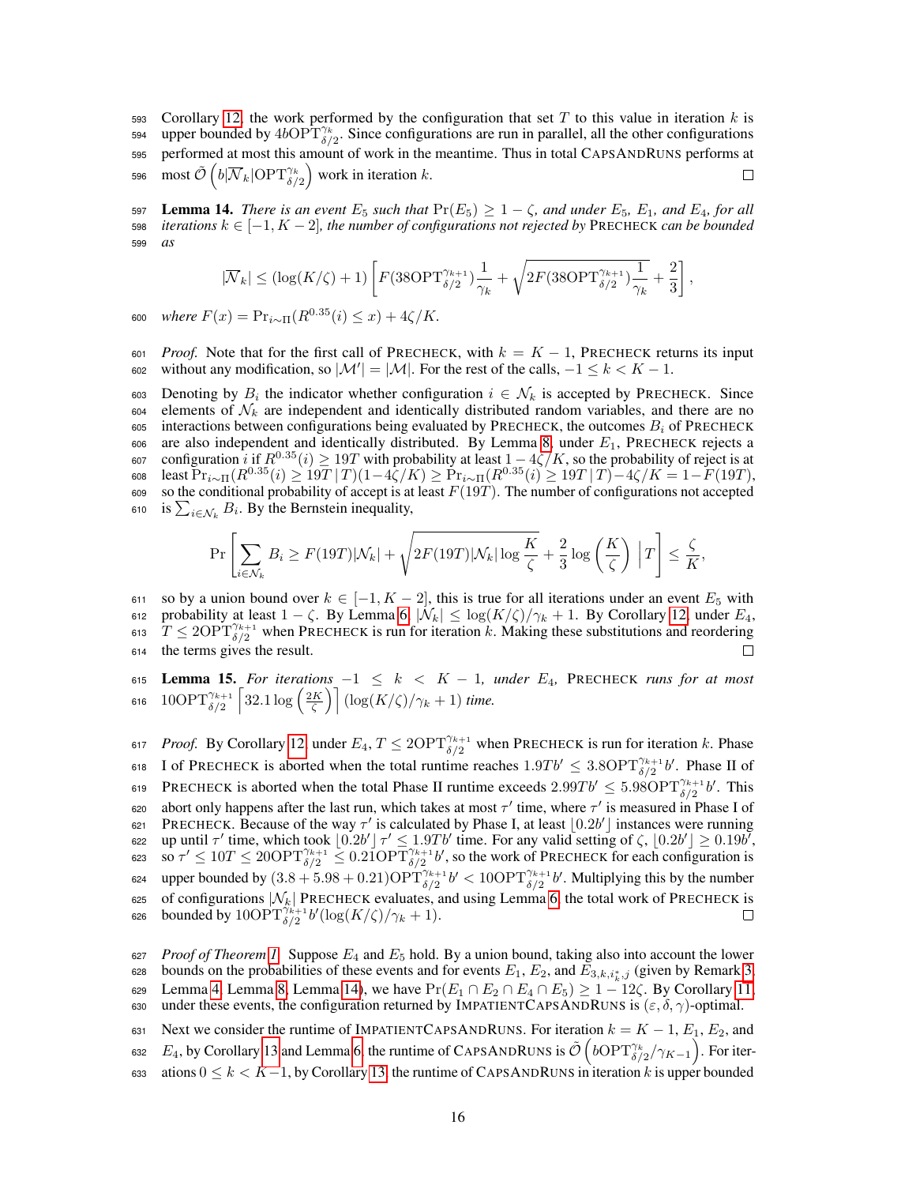593 Corollary [12,](#page-14-2) the work performed by the configuration that set T to this value in iteration k is 594 upper bounded by  $4bOPT^{\gamma_k}_{\delta/2}$ . Since configurations are run in parallel, all the other configurations <sup>595</sup> performed at most this amount of work in the meantime. Thus in total CAPSANDRUNS performs at 596 most  $\tilde{\mathcal{O}}\left(b|\overline{\mathcal{N}}_k|\text{OPT}_{\delta/2}^{\gamma_k}\right)$  work in iteration  $k.$  $\Box$ 

<span id="page-15-0"></span>597 Lemma 14. *There is an event*  $E_5$  *such that*  $Pr(E_5) \geq 1 - \zeta$ *, and under*  $E_5$ *,*  $E_1$ *, and*  $E_4$ *, for all* 598 *iterations*  $k \in [-1, K - 2]$ , the number of configurations not rejected by PRECHECK can be bounded <sup>599</sup> *as*

$$
|\overline{\mathcal{N}}_k| \leq (\log(K/\zeta)+1)\left[F(38\text{OPT}_{\delta/2}^{\gamma_{k+1}})\frac{1}{\gamma_k}+\sqrt{2F(38\text{OPT}_{\delta/2}^{\gamma_{k+1}})\frac{1}{\gamma_k}}+\frac{2}{3}\right],
$$

 $\text{600} \quad \text{where } F(x) = \Pr_{i \sim \Pi}(R^{0.35}(i) \leq x) + 4\zeta/K.$ 

601 *Proof.* Note that for the first call of PRECHECK, with  $k = K - 1$ , PRECHECK returns its input 602 without any modification, so  $|M'| = |M|$ . For the rest of the calls,  $-1 \le k < K - 1$ .

603 Denoting by  $B_i$  the indicator whether configuration  $i \in \mathcal{N}_k$  is accepted by PRECHECK. Since 604 elements of  $\mathcal{N}_k$  are independent and identically distributed random variables, and there are no 605 interactions between configurations being evaluated by PRECHECK, the outcomes  $B_i$  of PRECHECK  $606$  are also independent and identically distributed. By Lemma [8,](#page-12-2) under  $E_1$ , PRECHECK rejects a 607 configuration *i* if  $R^{0.35}(i)$  ≥ 19*T* with probability at least  $1-4\zeta/K$ , so the probability of reject is at 608 Least  $\Pr_{i \sim \Pi}(R^{0.35}(i) \geq 19T \,|\, T) (1-4\zeta/K) \geq \Pr_{i \sim \Pi}(R^{0.35}(i) \geq 19T \,|\, T) - 4\zeta/K = 1-F(19T),$ 609 so the conditional probability of accept is at least  $F(19T)$ . The number of configurations not accepted 610 is  $\sum_{i \in \mathcal{N}_k} B_i$ . By the Bernstein inequality,

$$
\Pr\left[\sum_{i\in\mathcal{N}_k}B_i \geq F(19T)|\mathcal{N}_k| + \sqrt{2F(19T)|\mathcal{N}_k|\log\frac{K}{\zeta}} + \frac{2}{3}\log\left(\frac{K}{\zeta}\right)\Big|T\right] \leq \frac{\zeta}{K},
$$

611 so by a union bound over  $k \in [-1, K - 2]$ , this is true for all iterations under an event  $E_5$  with 612 probability at least  $1 - \zeta$ . By Lemma [6,](#page-12-1)  $|\mathcal{N}_k| \leq \log(K/\zeta)/\gamma_k + 1$ . By Corollary [12,](#page-14-2) under  $E_4$ , 613  $T \leq 2\text{OPT}_{\delta/2}^{\gamma_{k+1}}$  when PRECHECK is run for iteration k. Making these substitutions and reordering <sup>614</sup> the terms gives the result. П

<span id="page-15-1"></span><sup>615</sup> Lemma 15. *For iterations* −1 ≤ k < K − 1*, under* E4*,* PRECHECK *runs for at most* 616  $10\text{OPT}^{\gamma_{k+1}}_{\delta/2} \left[32.1\log\left(\frac{2K}{\zeta}\right)\right] (\log(K/\zeta)/\gamma_k+1)$  time.

617 *Proof.* By Corollary [12,](#page-14-2) under  $E_4$ ,  $T \leq 2\text{OPT}_{\delta/2}^{\gamma_{k+1}}$  when PRECHECK is run for iteration k. Phase 618 I of PRECHECK is aborted when the total runtime reaches  $1.9Tb' \leq 3.8\text{OPT}_{\delta/2}^{\gamma_{k+1}}b'$ . Phase II of 619 PRECHECK is aborted when the total Phase II runtime exceeds  $2.99Tb' \leq 5.98OPT_{\delta/2}^{\gamma_{k+1}}b'$ . This  $\epsilon$  abort only happens after the last run, which takes at most  $\tau'$  time, where  $\tau'$  is measured in Phase I of 621 PRECHECK. Because of the way  $\tau'$  is calculated by Phase I, at least  $[0.2b']$  instances were running 622 up until τ' time, which took  $\lfloor 0.2b' \rfloor \tau' \le 1.9Tb'$  time. For any valid setting of  $\zeta$ ,  $\lfloor 0.2b' \rfloor \ge 0.19b'$ ,  $\cos 80 \tau' \le 10T \le 20\text{OPT}_{\delta/2}^{\gamma_{k+1}} \le 0.21\text{OPT}_{\delta/2}^{\gamma_{k+1}}$  b, so the work of PRECHECK for each configuration is 624 upper bounded by  $(3.8 + 5.98 + 0.21) \text{OPT}_{\delta/2}^{\gamma_{k+1}} b' < 10 \text{OPT}_{\delta/2}^{\gamma_{k+1}} b'$ . Multiplying this by the number 625 of configurations  $|\mathcal{N}_k|$  PRECHECK evaluates, and using Lemma [6,](#page-12-1) the total work of PRECHECK is 626 bounded by  $10\text{OPT}_{\delta/2}^{\gamma_{k+1}} b'(\log(K/\zeta)/\gamma_k+1)$ .  $\Box$ 

<sup>627</sup> *Proof of Theorem [1.](#page-3-3)* Suppose E<sup>4</sup> and E<sup>5</sup> hold. By a union bound, taking also into account the lower 628 bounds on the probabilities of these events and for events  $E_1, E_2$ , and  $E_{3,k,i_k^*,j}$  (given by Remark [3,](#page-12-4) 629 Lemma [4,](#page-12-0) Lemma [8,](#page-12-2) Lemma [14\)](#page-15-0), we have  $Pr(E_1 \cap E_2 \cap E_4 \cap E_5) \ge 1 - 12\zeta$ . By Corollary [11,](#page-14-1)

630 under these events, the configuration returned by IMPATIENTCAPSANDRUNS is  $(\varepsilon, \delta, \gamma)$ -optimal.

633 ations  $0 \le k < K-1$ , by Corollary [13,](#page-14-3) the runtime of CAPSANDRUNS in iteration k is upper bounded

<sup>631</sup> Next we consider the runtime of IMPATIENTCAPSANDRUNS. For iteration  $k = K - 1$ ,  $E_1$ ,  $E_2$ , and 632 E<sub>4</sub>, by Corollary [13](#page-14-3) and Lemma [6,](#page-12-1) the runtime of CAPSANDRUNS is  $\tilde{\mathcal{O}}\left(b\text{OPT}_{\delta/2}^{\gamma_k}/\gamma_{K-1}\right)$ . For iter-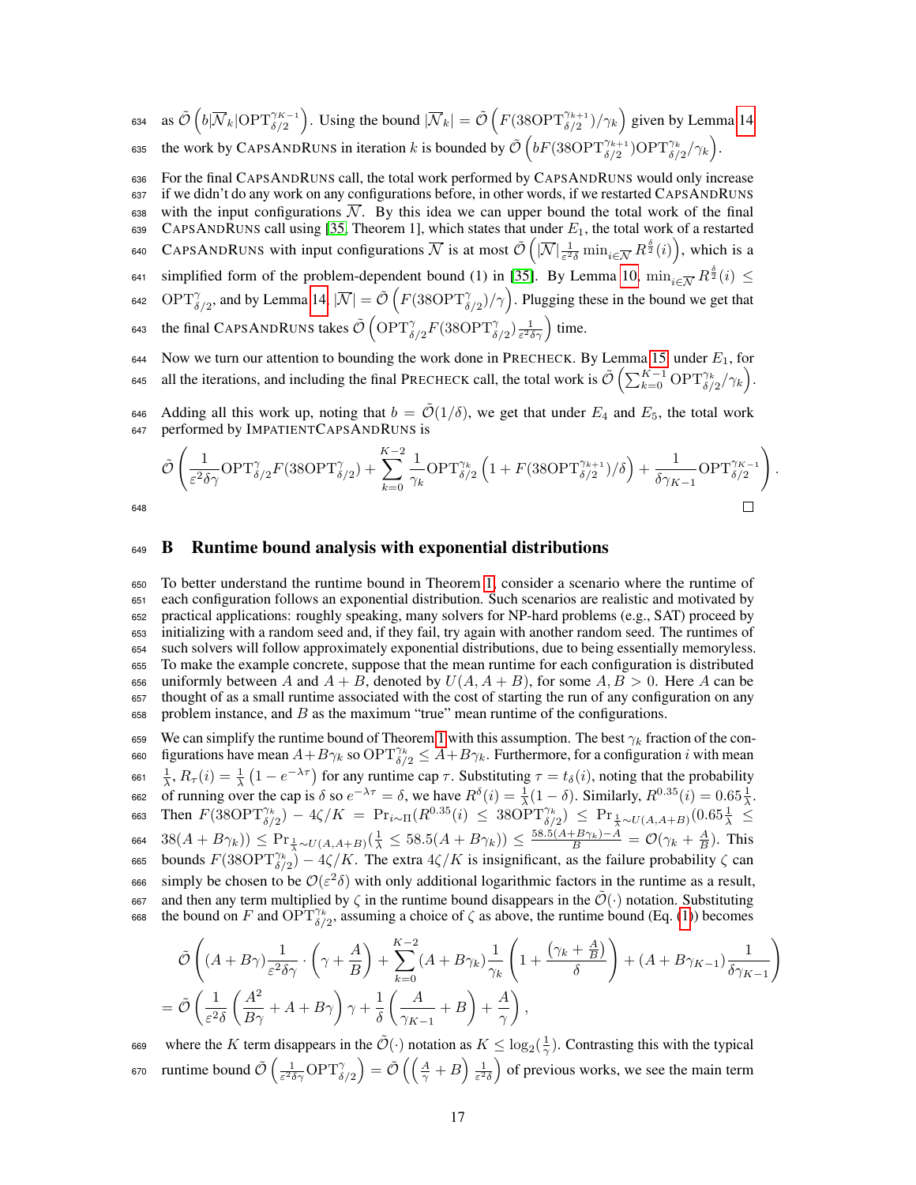634 as  $\tilde{\mathcal{O}}\left(b|\overline{\mathcal{N}}_k|\text{OPT}^{\gamma_{K-1}}_{\delta/2}\right)$ . Using the bound  $|\overline{\mathcal{N}}_k| = \tilde{\mathcal{O}}\left(F(38\text{OPT}^{\gamma_{k+1}}_{\delta/2})/\gamma_k\right)$  given by Lemma [14](#page-15-0) 635 the work by CAPSANDRUNS in iteration k is bounded by  $\tilde{\mathcal{O}}\left(bF(38\text{OPT}_{\delta/2}^{\gamma_{k+1}})\text{OPT}_{\delta/2}^{\gamma_k}/\gamma_k\right)$ .

<sup>636</sup> For the final CAPSANDRUNS call, the total work performed by CAPSANDRUNS would only increase

<sup>637</sup> if we didn't do any work on any configurations before, in other words, if we restarted CAPSANDRUNS 638 with the input configurations  $\overline{\mathcal{N}}$ . By this idea we can upper bound the total work of the final 639 CAPSANDRUNS call using [\[35,](#page-10-1) Theorem 1], which states that under  $E_1$ , the total work of a restarted 640 CAPSANDRUNS with input configurations  $\overline{\mathcal{N}}$  is at most  $\tilde{\mathcal{O}}\left(|\overline{\mathcal{N}}|\frac{1}{\varepsilon^2\delta}\min_{i\in\overline{\mathcal{N}}}R^{\frac{\delta}{2}}(i)\right)$ , which is a  $\epsilon_{41}$  simplified form of the problem-dependent bound (1) in [\[35\]](#page-10-1). By Lemma [10,](#page-14-0)  $\min_{i \in \overline{\mathcal{N}}} R^{\frac{\delta}{2}}(i) \leq$ 642 OPT $\gamma_{\delta/2}$ , and by Lemma [14,](#page-15-0)  $|\overline{\mathcal{N}}| = \tilde{\mathcal{O}}\left(F(38\text{OPT}_{\delta/2}^{\gamma})/\gamma\right)$ . Plugging these in the bound we get that 643 the final CAPSANDRUNS takes  $\tilde{\mathcal{O}}\left(\text{OPT}_{\delta/2}^{\gamma}F(38\text{OPT}_{\delta/2}^{\gamma})\frac{1}{\varepsilon^2\delta\gamma}\right)$  time. 644 Now we turn our attention to bounding the work done in PRECHECK. By Lemma [15,](#page-15-1) under  $E_1$ , for

645 all the iterations, and including the final PRECHECK call, the total work is  $\tilde{\mathcal{O}}\left(\sum_{k=0}^{K-1} \text{OPT}_{\delta/2}^{\gamma_k}/\gamma_k\right)$ .

646 Adding all this work up, noting that  $b = \tilde{\mathcal{O}}(1/\delta)$ , we get that under  $E_4$  and  $E_5$ , the total work <sup>647</sup> performed by IMPATIENTCAPSANDRUNS is

$$
\tilde{\mathcal{O}}\left(\frac{1}{\varepsilon^2\delta\gamma}\textnormal{OPT}_{\delta/2}^\gamma F(38\textnormal{OPT}_{\delta/2}^\gamma) + \sum_{k=0}^{K-2}\frac{1}{\gamma_k}\textnormal{OPT}_{\delta/2}^{\gamma_k}\left(1+F(38\textnormal{OPT}_{\delta/2}^{\gamma_{k+1}})/\delta\right) + \frac{1}{\delta\gamma_{K-1}}\textnormal{OPT}_{\delta/2}^{\gamma_{K-1}}\right).
$$

648

#### <span id="page-16-0"></span><sup>649</sup> B Runtime bound analysis with exponential distributions

 To better understand the runtime bound in Theorem [1,](#page-3-3) consider a scenario where the runtime of each configuration follows an exponential distribution. Such scenarios are realistic and motivated by practical applications: roughly speaking, many solvers for NP-hard problems (e.g., SAT) proceed by initializing with a random seed and, if they fail, try again with another random seed. The runtimes of such solvers will follow approximately exponential distributions, due to being essentially memoryless. To make the example concrete, suppose that the mean runtime for each configuration is distributed 656 uniformly between A and  $A + B$ , denoted by  $U(A, A + B)$ , for some  $A, B > 0$ . Here A can be thought of as a small runtime associated with the cost of starting the run of any configuration on any problem instance, and B as the maximum "true" mean runtime of the configurations.

659 We can simplify the runtime bound of Theorem [1](#page-3-3) with this assumption. The best  $\gamma_k$  fraction of the con-660 figurations have mean  $A + B\gamma_k$  so  $\text{OPT}_{\delta/2}^{\gamma_k} \leq A + B\gamma_k$ . Furthermore, for a configuration i with mean 661  $\frac{1}{\lambda}$ ,  $R_{\tau}(i) = \frac{1}{\lambda} (1 - e^{-\lambda \tau})$  for any runtime cap  $\tau$ . Substituting  $\tau = t_{\delta}(i)$ , noting that the probability 662 of running over the cap is  $\delta$  so  $e^{-\lambda \tau} = \delta$ , we have  $R^{\delta}(i) = \frac{1}{\lambda}(1 - \delta)$ . Similarly,  $R^{0.35}(i) = 0.65\frac{1}{\lambda}$ . 663 Then  $F(38\text{OPT}_{\delta/2}^{\gamma_k}) - 4\zeta/K = \Pr_{i \sim \Pi}(R^{0.35}(i) \leq 38\text{OPT}_{\delta/2}^{\gamma_k}) \leq \Pr_{\frac{1}{\lambda} \sim U(A, A+B)}(0.65\frac{1}{\lambda})$ 664  $38(A + B\gamma_k)$ )  $\leq \Pr_{\frac{1}{\lambda} \sim U(A, A+B)}(\frac{1}{\lambda} \leq 58.5(A + B\gamma_k)) \leq \frac{58.5(A + B\gamma_k) - A}{B} = \mathcal{O}(\gamma_k + \frac{A}{B})$ . This 665 bounds  $F(38\text{OPT}_{\delta/2}^{\gamma_k}) - 4\zeta/K$ . The extra  $4\zeta/K$  is insignificant, as the failure probability  $\zeta$  can 666 simply be chosen to be  $\mathcal{O}(\varepsilon^2\delta)$  with only additional logarithmic factors in the runtime as a result, 667 and then any term multiplied by ζ in the runtime bound disappears in the  $\mathcal{O}(\cdot)$  notation. Substituting 668 the bound on F and  $\overline{\mathrm{OPT}}_{\delta/2}^{\gamma_k}$ , assuming a choice of  $\zeta$  as above, the runtime bound (Eq. [\(1\)](#page-3-4)) becomes

$$
\tilde{\mathcal{O}}\left((A+B\gamma)\frac{1}{\varepsilon^2\delta\gamma}\cdot\left(\gamma+\frac{A}{B}\right)+\sum_{k=0}^{K-2}(A+B\gamma_k)\frac{1}{\gamma_k}\left(1+\frac{\left(\gamma_k+\frac{A}{B}\right)}{\delta}\right)+\left(A+B\gamma_{K-1}\right)\frac{1}{\delta\gamma_{K-1}}\right)
$$
\n
$$
=\tilde{\mathcal{O}}\left(\frac{1}{\varepsilon^2\delta}\left(\frac{A^2}{B\gamma}+A+B\gamma\right)\gamma+\frac{1}{\delta}\left(\frac{A}{\gamma_{K-1}}+B\right)+\frac{A}{\gamma}\right),
$$

669 where the K term disappears in the  $\tilde{\mathcal{O}}(\cdot)$  notation as  $K \leq \log_2(\frac{1}{\gamma})$ . Contrasting this with the typical 670 runtime bound  $\tilde{\mathcal{O}}\left(\frac{1}{\varepsilon^2 \delta \gamma} \text{OPT}_{\delta/2}^{\gamma}\right) = \tilde{\mathcal{O}}\left(\left(\frac{A}{\gamma} + B\right) \frac{1}{\varepsilon^2 \delta}\right)$  of previous works, we see the main term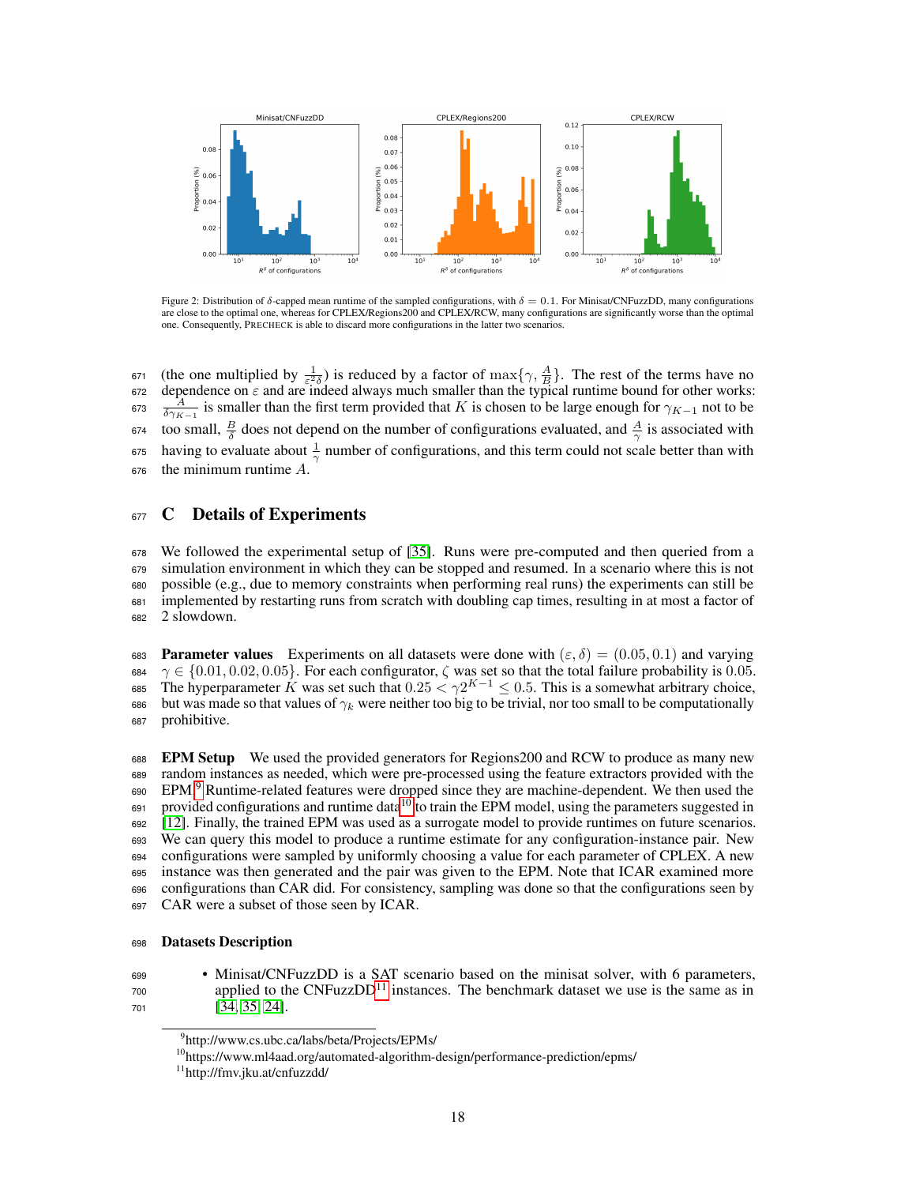<span id="page-17-1"></span>

Figure 2: Distribution of δ-capped mean runtime of the sampled configurations, with  $\delta = 0.1$ . For Minisat/CNFuzzDD, many configurations are close to the optimal one, whereas for CPLEX/Regions200 and CPLEX/RCW, many configurations are significantly worse than the optimal one. Consequently, PRECHECK is able to discard more configurations in the latter two scenarios.

671 (the one multiplied by  $\frac{1}{\varepsilon^2 \delta}$ ) is reduced by a factor of max{ $\gamma$ ,  $\frac{A}{B}$ }. The rest of the terms have no 672 dependence on  $\varepsilon$  and are indeed always much smaller than the typical runtime bound for other works:<br>
673  $\frac{A}{\delta \gamma_{K-1}}$  is smaller than the first term provided that K is chosen to be large enough for  $\gamma_{K-1}$  no 674 too small,  $\frac{B}{\delta}$  does not depend on the number of configurations evaluated, and  $\frac{A}{\gamma}$  is associated with  $\frac{1}{\gamma}$  having to evaluate about  $\frac{1}{\gamma}$  number of configurations, and this term could not scale better than with the minimum runtime  $A$ .

## <span id="page-17-0"></span>677 C Details of Experiments

 We followed the experimental setup of [\[35\]](#page-10-1). Runs were pre-computed and then queried from a simulation environment in which they can be stopped and resumed. In a scenario where this is not possible (e.g., due to memory constraints when performing real runs) the experiments can still be implemented by restarting runs from scratch with doubling cap times, resulting in at most a factor of 2 slowdown.

683 **Parameter values** Experiments on all datasets were done with  $(\varepsilon, \delta) = (0.05, 0.1)$  and varying 684  $\gamma \in \{0.01, 0.02, 0.05\}$ . For each configurator,  $\zeta$  was set so that the total failure probability is 0.05. 685 The hyperparameter K was set such that  $0.25 < \gamma 2^{K-1} \le 0.5$ . This is a somewhat arbitrary choice, 686 but was made so that values of  $\gamma_k$  were neither too big to be trivial, nor too small to be computationally prohibitive.

 EPM Setup We used the provided generators for Regions200 and RCW to produce as many new random instances as needed, which were pre-processed using the feature extractors provided with the [9](#page-17-2)0 EPM.<sup>9</sup> Runtime-related features were dropped since they are machine-dependent. We then used the provided configurations and runtime data<sup>[10](#page-17-3)</sup> to train the EPM model, using the parameters suggested in [\[12\]](#page-8-10). Finally, the trained EPM was used as a surrogate model to provide runtimes on future scenarios. We can query this model to produce a runtime estimate for any configuration-instance pair. New configurations were sampled by uniformly choosing a value for each parameter of CPLEX. A new instance was then generated and the pair was given to the EPM. Note that ICAR examined more configurations than CAR did. For consistency, sampling was done so that the configurations seen by CAR were a subset of those seen by ICAR.

#### Datasets Description

 • Minisat/CNFuzzDD is a SAT scenario based on the minisat solver, with 6 parameters,  $\alpha$ <sup>700</sup> applied to the CNFuzzDD<sup>[11](#page-17-4)</sup> instances. The benchmark dataset we use is the same as in [\[34,](#page-10-0) [35,](#page-10-1) [24\]](#page-9-6).

<span id="page-17-2"></span>http://www.cs.ubc.ca/labs/beta/Projects/EPMs/

<span id="page-17-3"></span>https://www.ml4aad.org/automated-algorithm-design/performance-prediction/epms/

<span id="page-17-4"></span>http://fmv.jku.at/cnfuzzdd/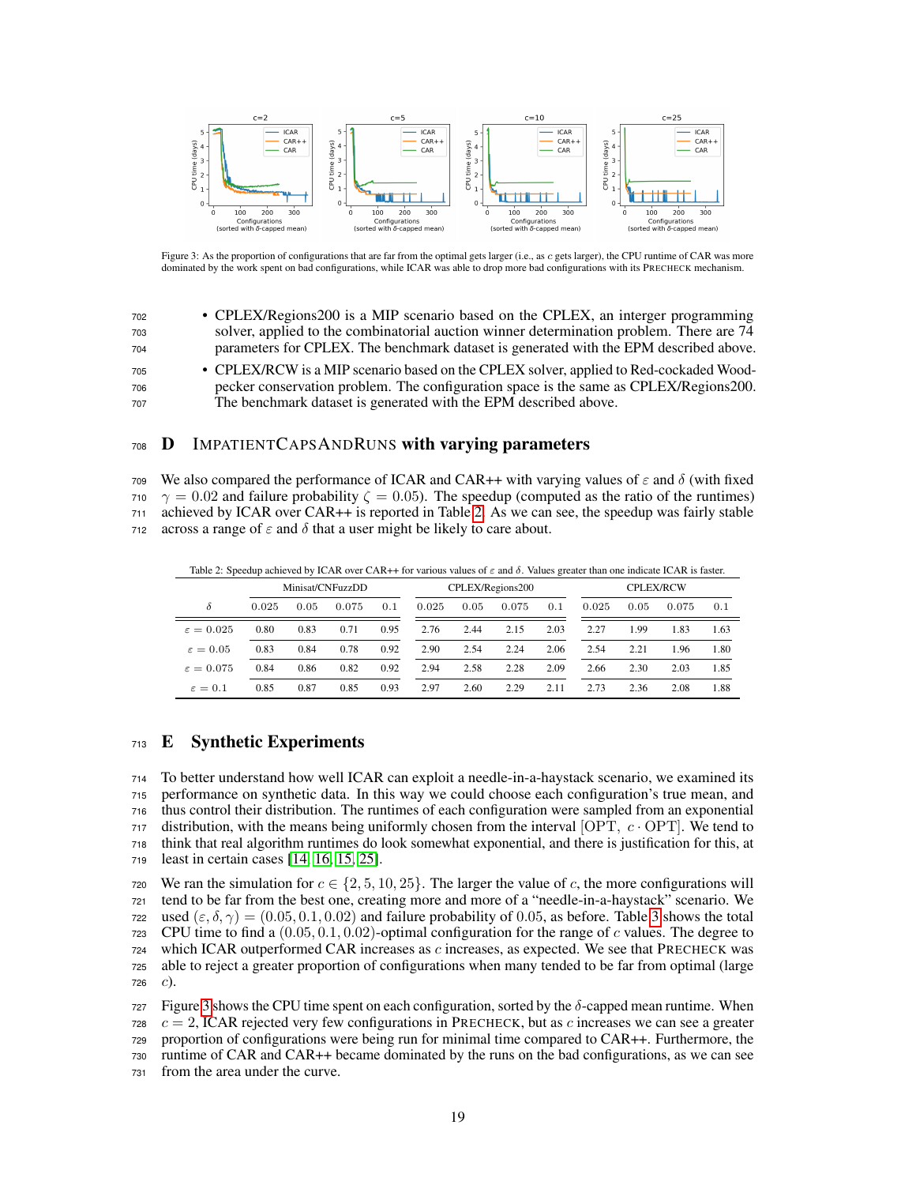<span id="page-18-1"></span>

Figure 3: As the proportion of configurations that are far from the optimal gets larger (i.e., as c gets larger), the CPU runtime of CAR was more dominated by the work spent on bad configurations, while ICAR was able to drop more bad configurations with its PRECHECK mechanism.

| 702 | • CPLEX/Regions 200 is a MIP scenario based on the CPLEX, an interger programming       |
|-----|-----------------------------------------------------------------------------------------|
| 703 | solver, applied to the combinatorial auction winner determination problem. There are 74 |
| 704 | parameters for CPLEX. The benchmark dataset is generated with the EPM described above.  |
| 705 | • CPLEX/RCW is a MIP scenario based on the CPLEX solver, applied to Red-cockaded Wood-  |
| 706 | pecker conservation problem. The configuration space is the same as CPLEX/Regions 200.  |
| 707 | The benchmark dataset is generated with the EPM described above.                        |

### 708 **D** IMPATIENTCAPSANDRUNS with varying parameters

709 We also compared the performance of ICAR and CAR++ with varying values of  $\varepsilon$  and  $\delta$  (with fixed  $\gamma = 0.02$  and failure probability  $\zeta = 0.05$ ). The speedup (computed as the ratio of the runtimes) <sup>711</sup> achieved by ICAR over CAR++ is reported in Table [2.](#page-18-0) As we can see, the speedup was fairly stable 712 across a range of  $\varepsilon$  and  $\delta$  that a user might be likely to care about.

<span id="page-18-0"></span>Table 2: Speedup achieved by ICAR over CAR++ for various values of  $\varepsilon$  and  $\delta$ . Values greater than one indicate ICAR is faster.

|                       | Minisat/CNFuzzDD |      |       |      | CPLEX/Regions200 |      |       |      | <b>CPLEX/RCW</b> |      |       |      |
|-----------------------|------------------|------|-------|------|------------------|------|-------|------|------------------|------|-------|------|
| δ                     | 0.025            | 0.05 | 0.075 | 0.1  | 0.025            | 0.05 | 0.075 | 0.1  | 0.025            | 0.05 | 0.075 | 0.1  |
| $\varepsilon = 0.025$ | 0.80             | 0.83 | 0.71  | 0.95 | 2.76             | 2.44 | 2.15  | 2.03 | 2.27             | 99.ء | 1.83  | 1.63 |
| $\varepsilon = 0.05$  | 0.83             | 0.84 | 0.78  | 0.92 | 2.90             | 2.54 | 2.24  | 2.06 | 2.54             | 2.21 | 1.96  | 1.80 |
| $\varepsilon = 0.075$ | 0.84             | 0.86 | 0.82  | 0.92 | 2.94             | 2.58 | 2.28  | 2.09 | 2.66             | 2.30 | 2.03  | 1.85 |
| $\varepsilon = 0.1$   | 0.85             | 0.87 | 0.85  | 0.93 | 2.97             | 2.60 | 2.29  | 2.11 | 2.73             | 2.36 | 2.08  | 1.88 |

# <sup>713</sup> E Synthetic Experiments

 To better understand how well ICAR can exploit a needle-in-a-haystack scenario, we examined its performance on synthetic data. In this way we could choose each configuration's true mean, and thus control their distribution. The runtimes of each configuration were sampled from an exponential 717 distribution, with the means being uniformly chosen from the interval  $[OPT, c \cdot OPT]$ . We tend to think that real algorithm runtimes do look somewhat exponential, and there is justification for this, at least in certain cases [\[14,](#page-8-13) [16,](#page-9-15) [15,](#page-9-16) [25\]](#page-9-17).

720 We ran the simulation for  $c \in \{2, 5, 10, 25\}$ . The larger the value of c, the more configurations will <sup>721</sup> tend to be far from the best one, creating more and more of a "needle-in-a-haystack" scenario. We 722 used  $(\epsilon, \delta, \gamma) = (0.05, 0.1, 0.02)$  and failure probability of 0.05, as before. Table [3](#page-19-0) shows the total 723 CPU time to find a  $(0.05, 0.1, 0.02)$ -optimal configuration for the range of c values. The degree to  $724$  which ICAR outperformed CAR increases as  $c$  increases, as expected. We see that PRECHECK was <sup>725</sup> able to reject a greater proportion of configurations when many tended to be far from optimal (large 726  $c$ ).

727 Figure [3](#page-18-1) shows the CPU time spent on each configuration, sorted by the  $\delta$ -capped mean runtime. When c = 2, ICAR rejected very few configurations in PRECHECK, but as c increases we can see a greater proportion of configurations were being run for minimal time compared to CAR++. Furthermore, the runtime of CAR and CAR++ became dominated by the runs on the bad configurations, as we can see from the area under the curve.